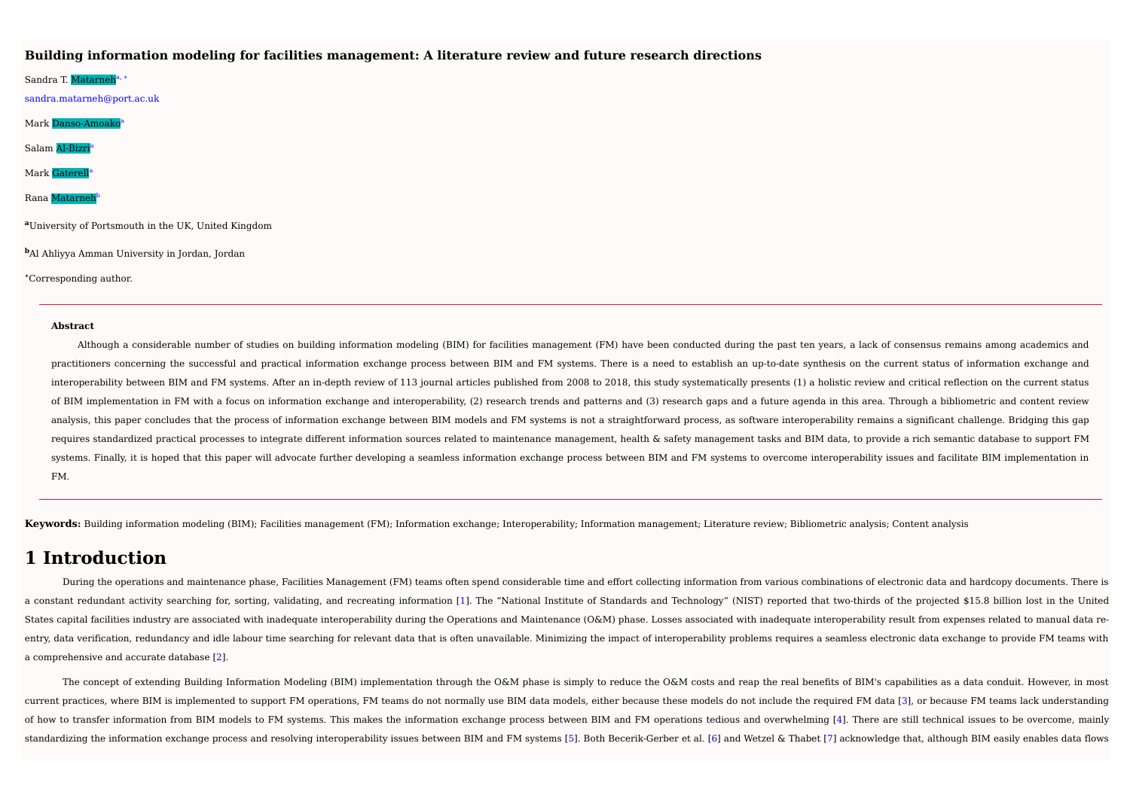### **Building information modeling for facilities management: A literature review and future research directions**

Sandra T. <mark>Matarneh</mark>ª, \* sandra.matarneh@port.ac.uk Mark Danso-Amoako a Salam Al-Bizri a Mark Gaterel a Rana Matarne b **<sup>a</sup>**University of Portsmouth in the UK, United Kingdom **<sup>b</sup>**Al Ahliyya Amman University in Jordan, Jordan

**<sup>∗</sup>**Corresponding author.

#### **Abstract**

Although a considerable number of studies on building information modeling (BIM) for facilities management (FM) have been conducted during the past ten years, a lack of consensus remains among academics and practitioners concerning the successful and practical information exchange process between BIM and FM systems. There is a need to establish an up-to-date synthesis on the current status of information exchange and interoperability between BIM and FM systems. After an in-depth review of 113 journal articles published from 2008 to 2018, this study systematically presents (1) a holistic review and critical reflection on the current sta of BIM implementation in FM with a focus on information exchange and interoperability, (2) research trends and patterns and (3) research gaps and a future agenda in this area. Through a bibliometric and content review analysis, this paper concludes that the process of information exchange between BIM models and FM systems is not a straightforward process, as software interoperability remains a significant challenge. Bridging this gap requires standardized practical processes to integrate different information sources related to maintenance management, health & safety management tasks and BIM data, to provide a rich semantic database to support FM systems. Finally, it is hoped that this paper will advocate further developing a seamless information exchange process between BIM and FM systems to overcome interoperability issues and facilitate BIM implementation in FM.

Keywords: Building information modeling (BIM); Facilities management (FM); Information exchange; Interoperability; Information management; Literature review; Bibliometric analysis; Content analysis

## **1 Introduction**

During the operations and maintenance phase, Facilities Management (FM) teams often spend considerable time and effort collecting information from various combinations of electronic data and hardcopy documents. There is a constant redundant activity searching for, sorting, validating, and recreating information [1]. The "National Institute of Standards and Technology" (NIST) reported that two-thirds of the projected \$15.8 billion lost in States capital facilities industry are associated with inadequate interoperability during the Operations and Maintenance (O&M) phase. Losses associated with inadequate interoperability result from expenses related to manua entry, data verification, redundancy and idle labour time searching for relevant data that is often unavailable. Minimizing the impact of interoperability problems requires a seamless electronic data exchange to provide FM a comprehensive and accurate database [2].

The concept of extending Building Information Modeling (BIM) implementation through the O&M phase is simply to reduce the O&M costs and reap the real benefits of BIM's capabilities as a data conduit. However, in most current practices, where BIM is implemented to support FM operations, FM teams do not normally use BIM data models, either because these models do not include the required FM data [3], or because FM teams lack understanding of how to transfer information from BIM models to FM systems. This makes the information exchange process between BIM and FM operations tedious and overwhelming [4]. There are still technical issues to be overcome, mainly standardizing the information exchange process and resolving interoperability issues between BIM and FM systems [5]. Both Becerik-Gerber et al. [6] and Wetzel & Thabet [7] acknowledge that, although BIM easily enables data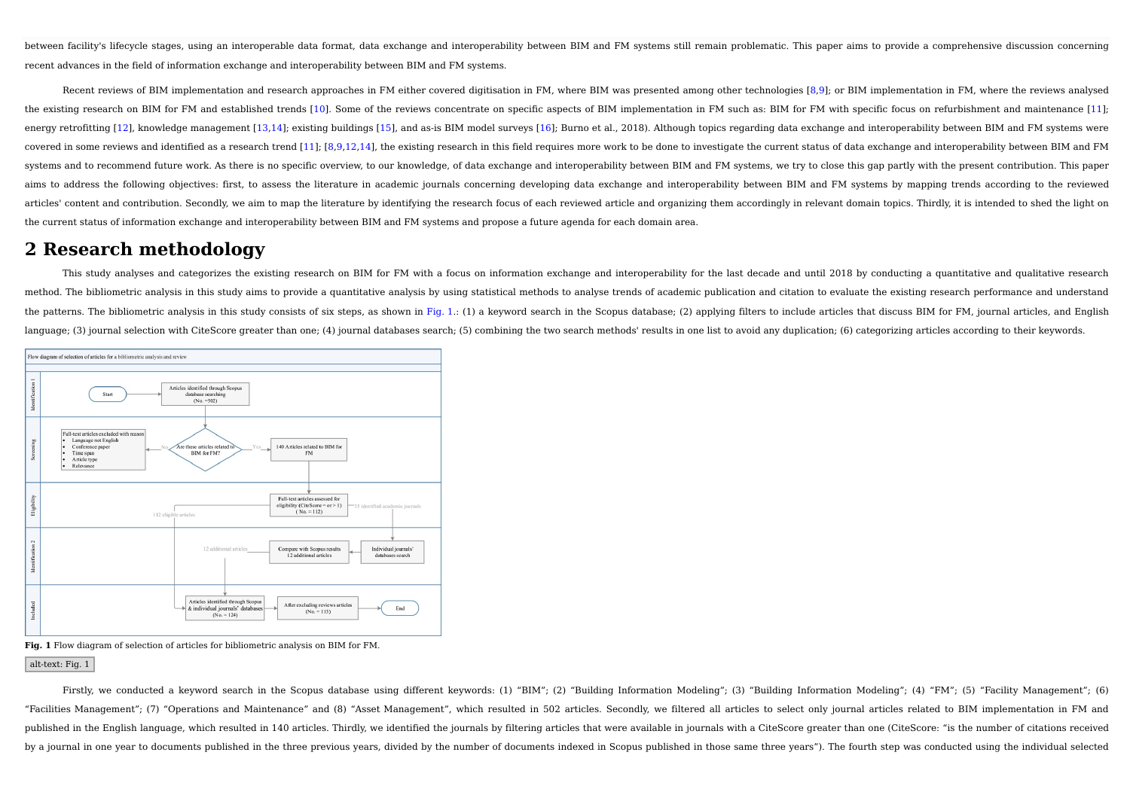between facility's lifecycle stages, using an interoperable data format, data exchange and interoperability between BIM and FM systems still remain problematic. This paper aims to provide a comprehensive discussion concern recent advances in the field of information exchange and interoperability between BIM and FM systems.

Recent reviews of BIM implementation and research approaches in FM either covered digitisation in FM, where BIM was presented among other technologies [8,9]; or BIM implementation in FM, where the reviews analysed the existing research on BIM for FM and established trends [10]. Some of the reviews concentrate on specific aspects of BIM implementation in FM such as: BIM for FM with specific focus on refurbishment and maintenance [11] energy retrofitting [12], knowledge management [13,14]; existing buildings [15], and as-is BIM model surveys [16]; Burno et al., 2018). Although topics regarding data exchange and interoperability between BIM and FM system covered in some reviews and identified as a research trend [11]; [8,9,12,14], the existing research in this field requires more work to be done to investigate the current status of data exchange and interoperability betwee systems and to recommend future work. As there is no specific overview, to our knowledge, of data exchange and interoperability between BIM and FM systems, we try to close this gap partly with the present contribution. Thi aims to address the following objectives: first, to assess the literature in academic journals concerning developing data exchange and interoperability between BIM and FM systems by mapping trends according to the reviewed articles' content and contribution. Secondly, we aim to map the literature by identifying the research focus of each reviewed article and organizing them accordingly in relevant domain topics. Thirdly, it is intended to sh the current status of information exchange and interoperability between BIM and FM systems and propose a future agenda for each domain area.

## **2 Research methodology**

This study analyses and categorizes the existing research on BIM for FM with a focus on information exchange and interoperability for the last decade and until 2018 by conducting a quantitative and qualitative research method. The bibliometric analysis in this study aims to provide a quantitative analysis by using statistical methods to analyse trends of academic publication and citation to evaluate the existing research performance and the patterns. The bibliometric analysis in this study consists of six steps, as shown in Fig. 1.: (1) a keyword search in the Scopus database; (2) applying filters to include articles that discuss BIM for FM, journal artic language; (3) journal selection with CiteScore greater than one; (4) journal databases search; (5) combining the two search methods' results in one list to avoid any duplication; (6) categorizing articles according to thei



**Fig. 1** Flow diagram of selection of articles for bibliometric analysis on BIM for FM.

alt-text: Fig. 1

Firstly, we conducted a keyword search in the Scopus database using different keywords: (1) "BIM"; (2) "Building Information Modeling"; (3) "Building Information Modeling"; (4) "FM"; (5) "Facility Management"; (6) (6) "Facilities Management"; (7) "Operations and Maintenance" and (8) "Asset Management", which resulted in 502 articles. Secondly, we filtered all articles to select only journal articles related to BIM implementation in FM and published in the English language, which resulted in 140 articles. Thirdly, we identified the journals by filtering articles that were available in journals with a CiteScore greater than one (CiteScore: "is the number of c by a journal in one year to documents published in the three previous years, divided by the number of documents indexed in Scopus published in those same three years"). The fourth step was conducted using the individual se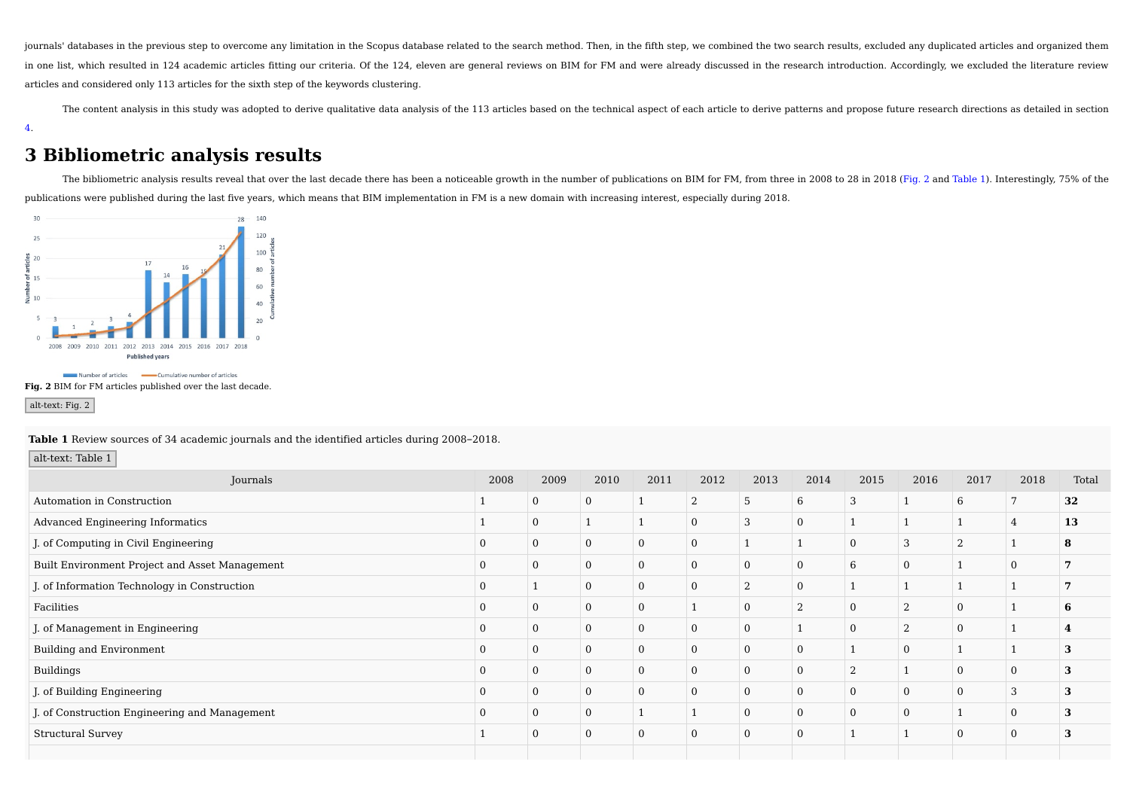journals' databases in the previous step to overcome any limitation in the Scopus database related to the search method. Then, in the fifth step, we combined the two search results, excluded any duplicated articles and org in one list, which resulted in 124 academic articles fitting our criteria. Of the 124, eleven are general reviews on BIM for FM and were already discussed in the research introduction. Accordingly, we excluded the literatu articles and considered only 113 articles for the sixth step of the keywords clustering.

The content analysis in this study was adopted to derive qualitative data analysis of the 113 articles based on the technical aspect of each article to derive patterns and propose future research directions as detailed in 4.

# **3 Bibliometric analysis results**

The bibliometric analysis results reveal that over the last decade there has been a noticeable growth in the number of publications on BIM for FM, from three in 2008 to 28 in 2018 (Fig. 2 and Table 1). Interestingly, 75% o publications were published during the last five years, which means that BIM implementation in FM is a new domain with increasing interest, especially during 2018.



**Fig. 2** BIM for FM articles published over the last decade.

#### alt-text: Fig. 2

**Table 1** Review sources of 34 academic journals and the identified articles during 2008–2018.

### alt-text: Table 1

| Journals                                       | 2008 | 2009     | 2010         | 2011           | 2012     | 2013         | 2014         | 2015     | 2016         | 2017           | 2018       | Total |
|------------------------------------------------|------|----------|--------------|----------------|----------|--------------|--------------|----------|--------------|----------------|------------|-------|
| Automation in Construction                     |      | $\Omega$ | $\mathbf{0}$ |                | $\Omega$ | 5            | 6            | 3        |              | 6              |            | 32    |
| Advanced Engineering Informatics               |      |          |              |                |          | 3            | $\mathbf{0}$ |          |              |                |            | 13    |
| J. of Computing in Civil Engineering           |      |          | $\Omega$     | $\bf{0}$       | $\Omega$ |              |              | $\Omega$ | 3            | $\overline{2}$ |            | 8     |
| Built Environment Project and Asset Management |      |          | $\Omega$     | $\bf{0}$       | $\Omega$ | $\mathbf{0}$ | $\mathbf{0}$ | 6        | $\mathbf{0}$ |                |            |       |
| J. of Information Technology in Construction   |      |          | $\Omega$     | $\mathbf{0}$   |          | $\Omega$     | $\mathbf{0}$ |          |              |                |            |       |
| Facilities                                     |      |          | $\Omega$     | $\mathbf{0}$   |          | $\mathbf{0}$ | C            | $\Omega$ | $\Omega$     | $\overline{0}$ |            |       |
| J. of Management in Engineering                |      |          | $\Omega$     | $\overline{0}$ |          | $\Omega$     |              | $\Omega$ | 2            | $\Omega$       |            |       |
| <b>Building and Environment</b>                |      |          | $\Omega$     | $\mathbf{0}$   | $\Omega$ | $\mathbf{0}$ | $\mathbf{0}$ |          | $\mathbf{0}$ |                |            |       |
| Buildings                                      |      |          | $\bf{0}$     | $\mathbf{0}$   |          | $\mathbf{0}$ | $\mathbf{0}$ | ി        |              | $\overline{0}$ |            |       |
| J. of Building Engineering                     |      |          | $\Omega$     | $\mathbf{0}$   | $\Omega$ | $\mathbf{0}$ | $\mathbf{0}$ | $\Omega$ | $\mathbf{0}$ | $\overline{0}$ | $\sqrt{2}$ |       |
| J. of Construction Engineering and Management  |      |          | $\Omega$     |                |          | $\mathbf{0}$ | $\mathbf{0}$ | $\Omega$ | $\mathbf{0}$ |                |            |       |
| <b>Structural Survey</b>                       |      |          | $\Omega$     | $\overline{0}$ |          | $\mathbf{0}$ | $\Omega$     |          |              | $\Omega$       | $\Omega$   |       |
|                                                |      |          |              |                |          |              |              |          |              |                |            |       |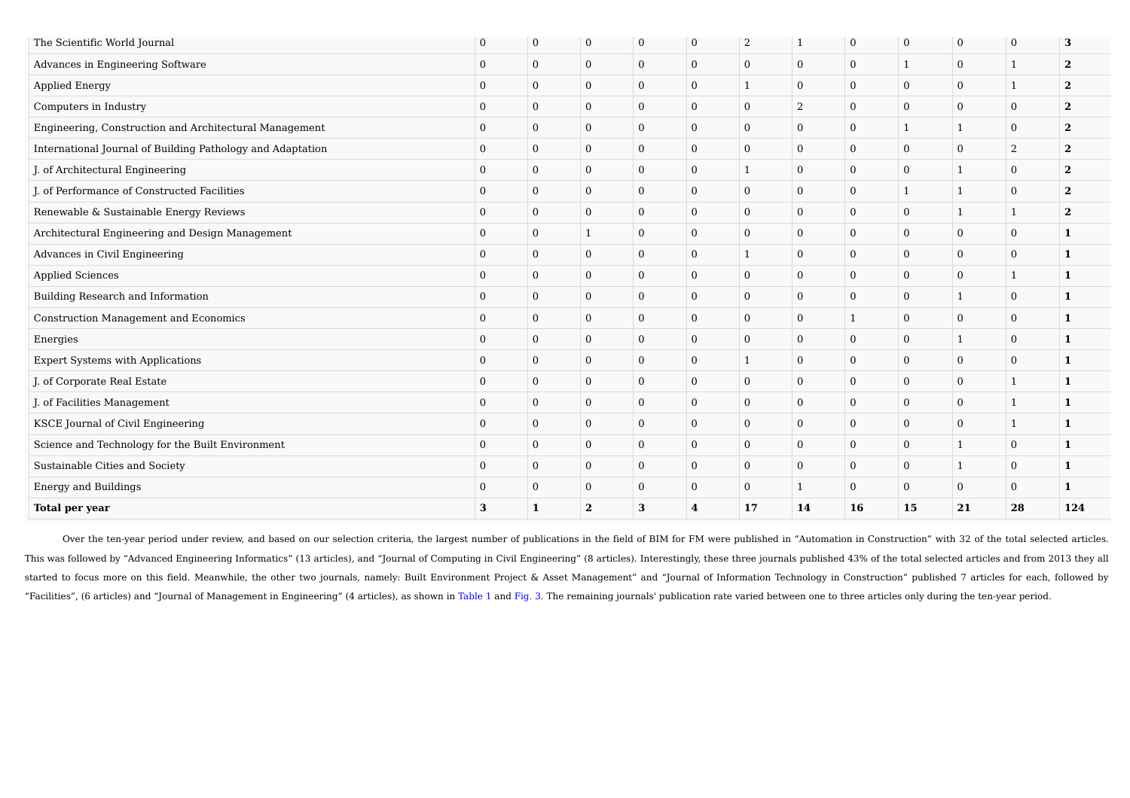| The Scientific World Journal                               | $\mathbf{0}$   | $\mathbf{0}$   | $\mathbf{0}$   | $\mathbf{0}$     | $\mathbf{0}$   | 2            | 1              | $\mathbf{0}$   | $\mathbf{0}$   | $\mathbf{0}$ | $\mathbf{0}$ | 3            |
|------------------------------------------------------------|----------------|----------------|----------------|------------------|----------------|--------------|----------------|----------------|----------------|--------------|--------------|--------------|
| Advances in Engineering Software                           | $\mathbf{0}$   | $\overline{0}$ | $\mathbf{0}$   | $\mathbf{0}$     | $\overline{0}$ | $\mathbf{0}$ | $\overline{0}$ | $\overline{0}$ | $\overline{1}$ | $\mathbf{0}$ | 1            | $\mathbf{2}$ |
| <b>Applied Energy</b>                                      | $\mathbf{0}$   | $\mathbf{0}$   | $\mathbf{0}$   | $\mathbf{0}$     | $\overline{0}$ | $\mathbf{1}$ | $\mathbf{0}$   | $\overline{0}$ | $\mathbf{0}$   | $\mathbf{0}$ | $\mathbf{1}$ | $\mathbf{2}$ |
| Computers in Industry                                      | $\mathbf{0}$   | $\mathbf{0}$   | $\mathbf{0}$   | $\mathbf{0}$     | $\mathbf{0}$   | $\mathbf{0}$ | 2              | $\mathbf{0}$   | $\mathbf{0}$   | $\mathbf{0}$ | $\mathbf{0}$ | $\mathbf{2}$ |
| Engineering, Construction and Architectural Management     | $\mathbf{0}$   | $\mathbf{0}$   | $\mathbf{0}$   | $\mathbf{0}$     | $\mathbf{0}$   | $\mathbf{0}$ | $\mathbf{0}$   | $\overline{0}$ | 1              | 1            | $\mathbf{0}$ | $\mathbf{2}$ |
| International Journal of Building Pathology and Adaptation | $\mathbf{0}$   | $\overline{0}$ | $\mathbf{0}$   | $\mathbf{0}$     | $\overline{0}$ | $\mathbf{0}$ | $\overline{0}$ | $\overline{0}$ | $\mathbf{0}$   | $\mathbf{0}$ | 2            | $\mathbf{2}$ |
| J. of Architectural Engineering                            | $\mathbf{0}$   | $\overline{0}$ | $\mathbf{0}$   | $\mathbf{0}$     | $\mathbf{0}$   | 1            | $\mathbf{0}$   | $\overline{0}$ | $\mathbf{0}$   | 1            | $\mathbf{0}$ | $\mathbf{2}$ |
| J. of Performance of Constructed Facilities                | $\mathbf{0}$   | $\mathbf{0}$   | $\mathbf{0}$   | $\mathbf{0}$     | $\mathbf{0}$   | $\mathbf{0}$ | $\mathbf{0}$   | $\mathbf{0}$   | $\overline{1}$ | 1            | $\mathbf{0}$ | $\mathbf{2}$ |
| Renewable & Sustainable Energy Reviews                     | $\mathbf{0}$   | $\mathbf{0}$   | $\overline{0}$ | $\mathbf{0}$     | $\mathbf{0}$   | $\mathbf{0}$ | $\mathbf{0}$   | $\mathbf{0}$   | $\mathbf{0}$   | 1            | $\mathbf{1}$ | $\mathbf{2}$ |
| Architectural Engineering and Design Management            | $\mathbf{0}$   | $\mathbf{0}$   | 1              | $\mathbf{0}$     | $\overline{0}$ | $\mathbf{0}$ | $\overline{0}$ | $\overline{0}$ | $\mathbf{0}$   | $\mathbf{0}$ | $\mathbf{0}$ | $\mathbf{1}$ |
| Advances in Civil Engineering                              | $\mathbf{0}$   | $\overline{0}$ | $\overline{0}$ | $\mathbf{0}$     | $\mathbf{0}$   | $\mathbf{1}$ | $\mathbf{0}$   | $\mathbf{0}$   | $\mathbf{0}$   | $\mathbf{0}$ | $\mathbf{0}$ | $\mathbf{1}$ |
| <b>Applied Sciences</b>                                    | $\mathbf{0}$   | $\mathbf{0}$   | $\overline{0}$ | $\mathbf{0}$     | $\mathbf{0}$   | $\mathbf{0}$ | $\mathbf{0}$   | $\mathbf{0}$   | $\mathbf{0}$   | $\mathbf{0}$ | 1            | $\mathbf{1}$ |
| Building Research and Information                          | $\mathbf{0}$   | $\mathbf{0}$   | $\mathbf{0}$   | $\mathbf{0}$     | $\mathbf{0}$   | $\mathbf{0}$ | $\mathbf{0}$   | $\overline{0}$ | $\mathbf{0}$   | $\mathbf{1}$ | $\mathbf{0}$ | $\mathbf{1}$ |
| Construction Management and Economics                      | $\mathbf{0}$   | $\overline{0}$ | $\mathbf{0}$   | $\mathbf{0}$     | $\overline{0}$ | $\mathbf{0}$ | $\overline{0}$ | $\mathbf{1}$   | $\mathbf{0}$   | $\mathbf{0}$ | $\mathbf{0}$ | $\mathbf{1}$ |
| Energies                                                   | $\mathbf{0}$   | $\overline{0}$ | $\mathbf{0}$   | $\mathbf{0}$     | $\mathbf{0}$   | $\mathbf{0}$ | $\mathbf{0}$   | $\overline{0}$ | $\mathbf{0}$   | $\mathbf{1}$ | $\mathbf{0}$ | $\mathbf{1}$ |
| Expert Systems with Applications                           | $\mathbf{0}$   | $\mathbf{0}$   | $\overline{0}$ | $\mathbf{0}$     | $\mathbf{0}$   | $\mathbf{1}$ | $\mathbf{0}$   | $\overline{0}$ | $\mathbf{0}$   | $\mathbf{0}$ | $\mathbf{0}$ | $\mathbf{1}$ |
| J. of Corporate Real Estate                                | $\mathbf{0}$   | $\overline{0}$ | $\mathbf{0}$   | $\mathbf{0}$     | $\mathbf{0}$   | $\mathbf{0}$ | $\mathbf{0}$   | $\overline{0}$ | $\mathbf{0}$   | $\mathbf{0}$ | 1            | 1            |
| J. of Facilities Management                                | $\mathbf{0}$   | $\mathbf{0}$   | $\mathbf{0}$   | $\mathbf{0}$     | $\overline{0}$ | $\mathbf{0}$ | $\overline{0}$ | $\overline{0}$ | $\mathbf{0}$   | $\mathbf{0}$ | $\mathbf{1}$ | 1            |
| KSCE Journal of Civil Engineering                          | $\overline{0}$ | $\overline{0}$ | $\mathbf{0}$   | $\mathbf{0}$     | $\mathbf{0}$   | $\mathbf{0}$ | $\mathbf{0}$   | $\overline{0}$ | $\mathbf{0}$   | $\mathbf{0}$ | 1            | 1            |
| Science and Technology for the Built Environment           | $\Omega$       | $\mathbf{0}$   | $\mathbf{0}$   | $\mathbf{0}$     | $\mathbf{0}$   | $\mathbf{0}$ | $\mathbf{0}$   | $\mathbf{0}$   | $\mathbf{0}$   | 1            | $\mathbf{0}$ | $\mathbf{1}$ |
| Sustainable Cities and Society                             | $\mathbf{0}$   | $\mathbf{0}$   | $\mathbf{0}$   | $\boldsymbol{0}$ | $\mathbf{0}$   | $\mathbf{0}$ | $\mathbf{0}$   | $\overline{0}$ | $\mathbf{0}$   | 1            | $\mathbf{0}$ | $\mathbf{1}$ |
| <b>Energy and Buildings</b>                                | $\mathbf{0}$   | $\overline{0}$ | $\mathbf{0}$   | $\mathbf{0}$     | $\overline{0}$ | $\mathbf{0}$ | $\mathbf{1}$   | $\overline{0}$ | $\mathbf{0}$   | $\mathbf{0}$ | $\mathbf{0}$ | $\mathbf{1}$ |
| <b>Total per year</b>                                      | 3              | 1              | $\overline{2}$ | 3                | 4              | 17           | 14             | 16             | 15             | 21           | 28           | 124          |

Over the ten-year period under review, and based on our selection criteria, the largest number of publications in the field of BIM for FM were published in "Automation in Construction" with 32 of the total selected articles. This was followed by "Advanced Engineering Informatics" (13 articles), and "Journal of Computing in Civil Engineering" (8 articles). Interestingly, these three journals published 43% of the total selected articles and from started to focus more on this field. Meanwhile, the other two journals, namely: Built Environment Project & Asset Management" and "Journal of Information Technology in Construction" published 7 articles for each, followed "Facilities", (6 articles) and "Journal of Management in Engineering" (4 articles), as shown in Table 1 and Fig. 3. The remaining journals' publication rate varied between one to three articles only during the ten-year per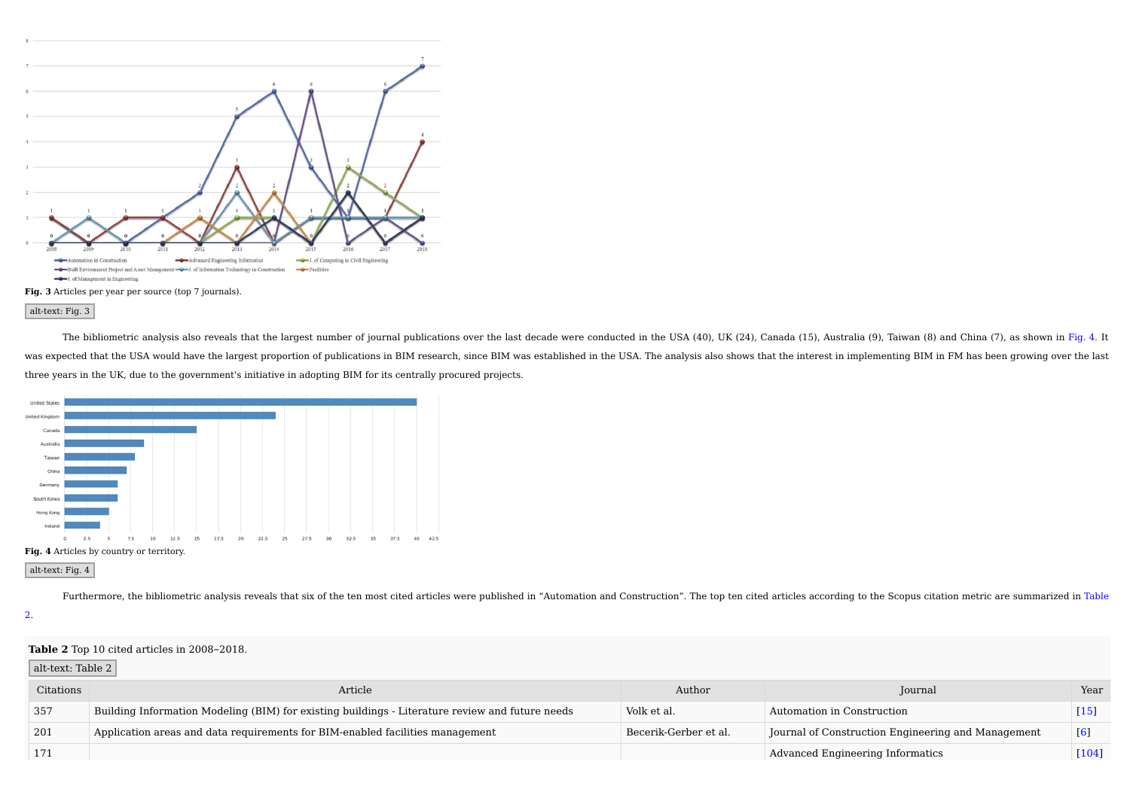



alt-text: Fig. 3

The bibliometric analysis also reveals that the largest number of journal publications over the last decade were conducted in the USA (40), UK (24), Canada (15), Australia (9), Taiwan (8) and China (7), as shown in Fig. 4. was expected that the USA would have the largest proportion of publications in BIM research, since BIM was established in the USA. The analysis also shows that the interest in implementing BIM in FM has been growing over t three years in the UK, due to the government's initiative in adopting BIM for its centrally procured projects.



alt-text: Fig. 4

Furthermore, the bibliometric analysis reveals that six of the ten most cited articles were published in "Automation and Construction". The top ten cited articles according to the Scopus citation metric are summarized in T

2.

#### **Table 2** Top 10 cited articles in 2008–2018.

#### alt-text: Table 2

| Citations | Article                                                                                         | Author                | Journal                                            | Year  |
|-----------|-------------------------------------------------------------------------------------------------|-----------------------|----------------------------------------------------|-------|
| 357       | Building Information Modeling (BIM) for existing buildings - Literature review and future needs | Volk et al.           | Automation in Construction                         | 15    |
| 201       | Application areas and data requirements for BIM-enabled facilities management                   | Becerik-Gerber et al. | Journal of Construction Engineering and Management | 16    |
|           |                                                                                                 |                       | Advanced Engineering Informatics                   | [104] |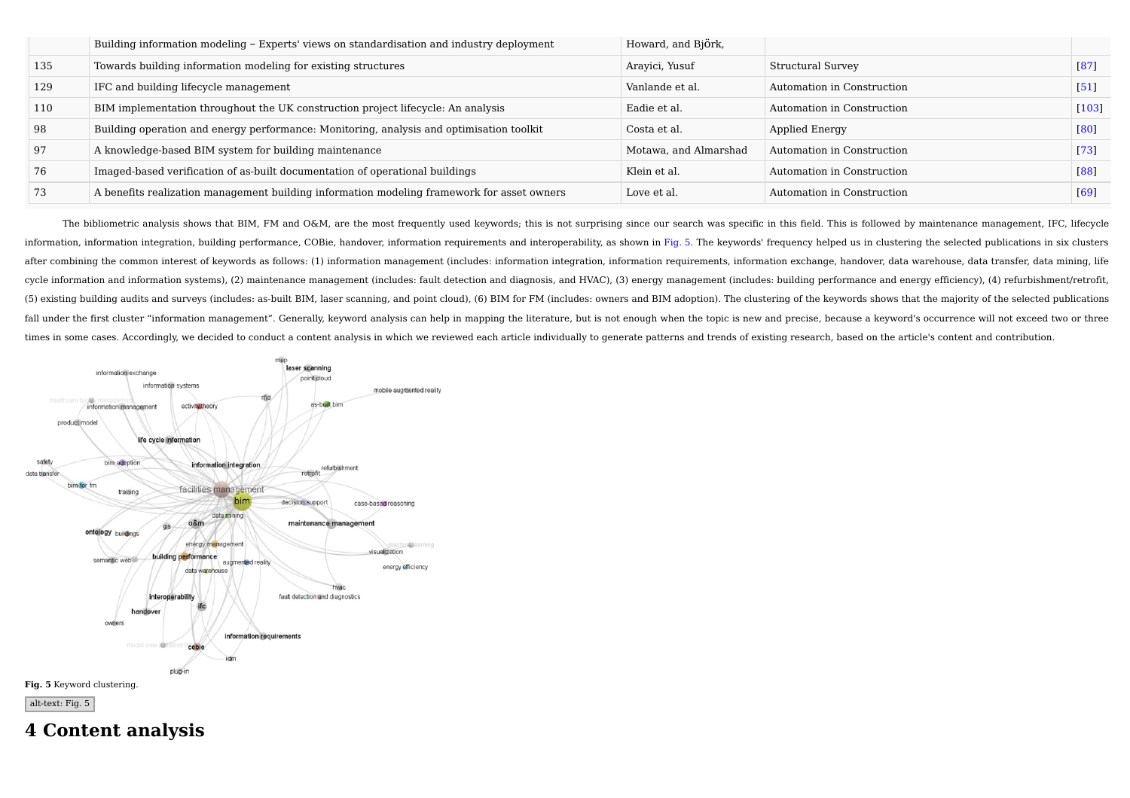|     | Building information modeling - Experts' views on standardisation and industry deployment  | Howard, and Björk,    |                            |                    |
|-----|--------------------------------------------------------------------------------------------|-----------------------|----------------------------|--------------------|
| 135 | Towards building information modeling for existing structures                              | Arayici, Yusuf        | Structural Survey          | [87]               |
| 129 | IFC and building lifecycle management                                                      | Vanlande et al.       | Automation in Construction | $\lceil 51 \rceil$ |
| 110 | BIM implementation throughout the UK construction project lifecycle: An analysis           | Eadie et al.          | Automation in Construction | $[103]$            |
| 98  | Building operation and energy performance: Monitoring, analysis and optimisation toolkit   | Costa et al.          | Applied Energy             | [80]               |
| 97  | A knowledge-based BIM system for building maintenance                                      | Motawa, and Almarshad | Automation in Construction | $\lceil 73 \rceil$ |
| 76  | Imaged-based verification of as-built documentation of operational buildings               | Klein et al.          | Automation in Construction | [88]               |
| 73  | A benefits realization management building information modeling framework for asset owners | Love et al.           | Automation in Construction | [69]               |

The bibliometric analysis shows that BIM, FM and O&M, are the most frequently used keywords; this is not surprising since our search was specific in this field. This is followed by maintenance management, IFC, lifecycle information, information integration, building performance, COBie, handover, information requirements and interoperability, as shown in Fig. 5. The keywords' frequency helped us in clustering the selected publications in s after combining the common interest of keywords as follows: (1) information management (includes: information integration, information requirements, information exchange, handover, data warehouse, data transfer, data minin cycle information and information systems), (2) maintenance management (includes: fault detection and diagnosis, and HVAC), (3) energy management (includes: building performance and energy efficiency), (4) refurbishment/re (5) existing building audits and surveys (includes: as-built BIM, laser scanning, and point cloud), (6) BIM for FM (includes: owners and BIM adoption). The clustering of the keywords shows that the majority of the selected fall under the first cluster "information management". Generally, keyword analysis can help in mapping the literature, but is not enough when the topic is new and precise, because a keyword's occurrence will not exceed two times in some cases. Accordingly, we decided to conduct a content analysis in which we reviewed each article individually to generate patterns and trends of existing research, based on the article's content and contribution.



**4 Content analysis**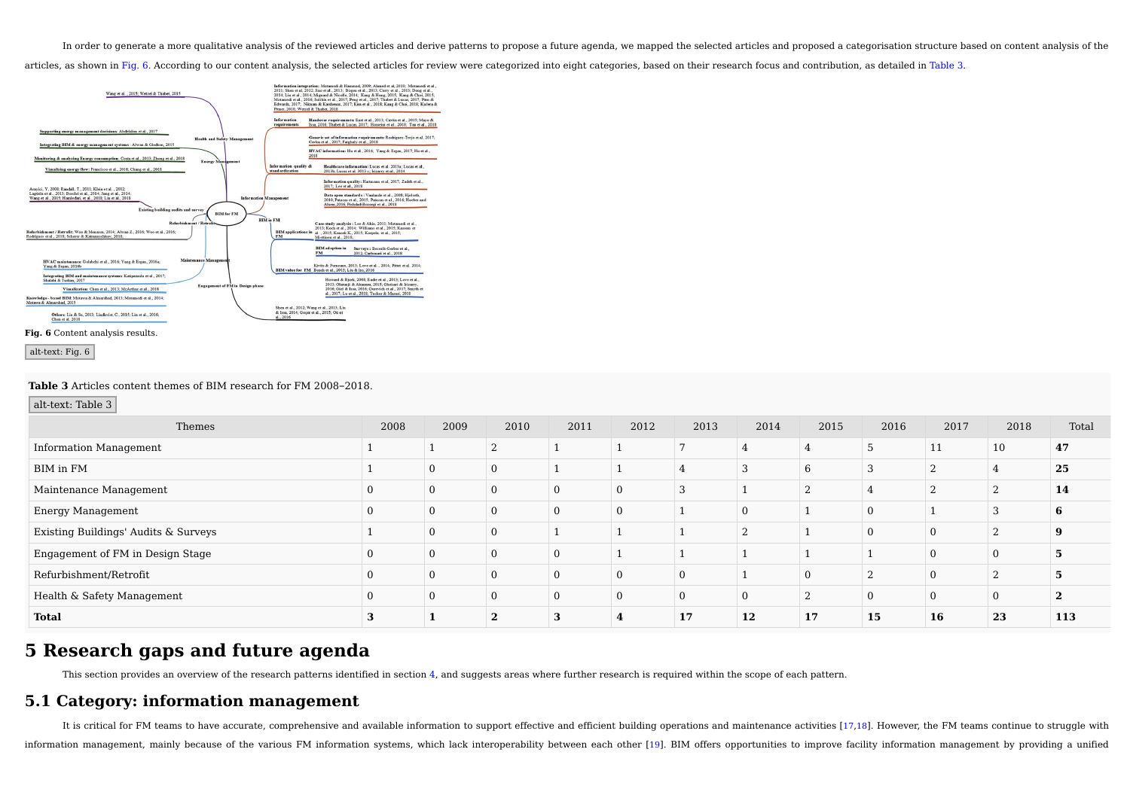In order to generate a more qualitative analysis of the reviewed articles and derive patterns to propose a future agenda, we mapped the selected articles and proposed a categorisation structure based on content analysis of

articles, as shown in Fig. 6. According to our content analysis, the selected articles for review were categorized into eight categories, based on their research focus and contribution, as detailed in Table 3.



### alt-text: Fig. 6

#### **Table 3** Articles content themes of BIM research for FM 2008–2018.

alt-text: Table 3

| Themes                               | 2008 | 2009     | 2010           | 2011 | 2012     | 2013 | 2014           | 2015 | 2016 | 2017 | 2018     | Total |
|--------------------------------------|------|----------|----------------|------|----------|------|----------------|------|------|------|----------|-------|
| <b>Information Management</b>        |      |          | 2              |      |          |      |                |      | - 11 | 11   | 10       | 47    |
| BIM in FM                            |      | $\Omega$ | $\overline{0}$ |      |          |      | 3              |      |      |      |          | 25    |
| Maintenance Management               |      | $\Omega$ |                |      |          |      |                |      |      |      |          | 14    |
| Energy Management                    |      | $\Omega$ | $\Omega$       |      | $\Omega$ |      | $\overline{0}$ |      |      |      |          | 'n    |
| Existing Buildings' Audits & Surveys |      | $\Omega$ | $\Omega$       |      |          |      | $\Omega$       |      |      |      |          |       |
| Engagement of FM in Design Stage     |      | $\Omega$ |                |      |          |      |                |      |      |      |          |       |
| Refurbishment/Retrofit               |      | $\Omega$ | $\Omega$       |      | $\Omega$ |      |                |      |      |      |          |       |
| Health & Safety Management           |      | $\Omega$ | $\Omega$       |      | $\Omega$ |      | $\overline{0}$ |      |      |      | $\Omega$ |       |
| <b>Total</b>                         |      |          |                |      |          | 17   | 12             | 17   | 15   | 16   | 23       | 113   |

## **5 Research gaps and future agenda**

This section provides an overview of the research patterns identified in section 4, and suggests areas where further research is required within the scope of each pattern.

## **5.1 Category: information management**

It is critical for FM teams to have accurate, comprehensive and available information to support effective and efficient building operations and maintenance activities [17,18]. However, the FM teams continue to struggle wi information management, mainly because of the various FM information systems, which lack interoperability between each other [19]. BIM offers opportunities to improve facility information management by providing a unified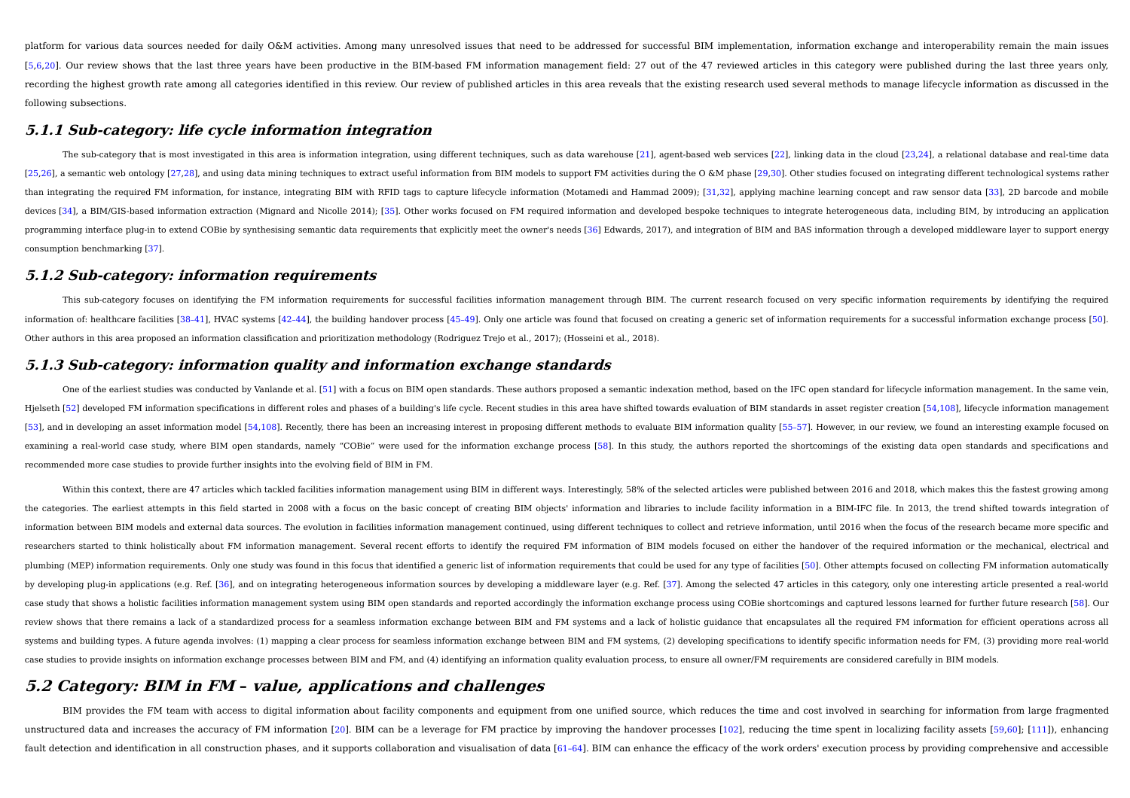platform for various data sources needed for daily O&M activities. Among many unresolved issues that need to be addressed for successful BIM implementation, information exchange and interoperability remain the main issues [5,6,20]. Our review shows that the last three years have been productive in the BIM-based FM information management field: 27 out of the 47 reviewed articles in this category were published during the last three years onl recording the highest growth rate among all categories identified in this review. Our review of published articles in this area reveals that the existing research used several methods to manage lifecycle information as dis following subsections.

### **5.1.1 Sub-category: life cycle information integration**

The sub-category that is most investigated in this area is information integration, using different techniques, such as data warehouse [21], agent-based web services [22], linking data in the cloud [23,24], a relational da [25,26], a semantic web ontology [27,28], and using data mining techniques to extract useful information from BIM models to support FM activities during the O &M phase [29,30]. Other studies focused on integrating differen than integrating the required FM information, for instance, integrating BIM with RFID tags to capture lifecycle information (Motamedi and Hammad 2009): [31,32], applying machine learning concept and raw sensor data [33], 2 devices [34], a BIM/GIS-based information extraction (Mignard and Nicolle 2014); [35]. Other works focused on FM required information and developed bespoke techniques to integrate heterogeneous data, including BIM, by intr programming interface plug-in to extend COBie by synthesising semantic data requirements that explicitly meet the owner's needs [36] Edwards, 2017), and integration of BIM and BAS information through a developed middleware consumption benchmarking [37].

### **5.1.2 Sub-category: information requirements**

This sub-category focuses on identifying the FM information requirements for successful facilities information management through BIM. The current research focused on very specific information requirements by identifying t information of: healthcare facilities [38-41], HVAC systems [42-44], the building handover process [45-49]. Only one article was found that focused on creating a generic set of information requirements for a successful inf Other authors in this area proposed an information classification and prioritization methodology (Rodriguez Trejo et al., 2017); (Hosseini et al., 2018).

### **5.1.3 Sub-category: information quality and information exchange standards**

One of the earliest studies was conducted by Vanlande et al. [51] with a focus on BIM open standards. These authors proposed a semantic indexation method, based on the IFC open standard for lifecycle information management Hjelseth [52] developed FM information specifications in different roles and phases of a building's life cycle. Recent studies in this area have shifted towards evaluation of BIM standards in asset register creation [54,10 [53], and in developing an asset information model [54,108]. Recently, there has been an increasing interest in proposing different methods to evaluate BIM information quality [55-57]. However, in our review, we found an i examining a real-world case study, where BIM open standards, namely "COBie" were used for the information exchange process [58]. In this study, the authors reported the shortcomings of the existing data open standards and recommended more case studies to provide further insights into the evolving field of BIM in FM.

Within this context, there are 47 articles which tackled facilities information management using BIM in different ways. Interestingly, 58% of the selected articles were published between 2016 and 2018, which makes this the the categories. The earliest attempts in this field started in 2008 with a focus on the basic concept of creating BIM objects' information and libraries to include facility information in a BIM-IFC file. In 2013, the trend information between BIM models and external data sources. The evolution in facilities information management continued, using different techniques to collect and retrieve information, until 2016 when the focus of the resea researchers started to think holistically about FM information management. Several recent efforts to identify the required FM information of BIM models focused on either the handover of the required information or the mech plumbing (MEP) information requirements. Only one study was found in this focus that identified a generic list of information requirements that could be used for any type of facilities [50]. Other attempts focused on colle by developing plug-in applications (e.g. Ref. [36], and on integrating heterogeneous information sources by developing a middleware layer (e.g. Ref. [37]. Among the selected 47 articles in this category, only one interesti case study that shows a holistic facilities information management system using BIM open standards and reported accordingly the information exchange process using COBie shortcomings and captured lessons learned for further review shows that there remains a lack of a standardized process for a seamless information exchange between BIM and FM systems and a lack of holistic guidance that encapsulates all the required FM information for efficien systems and building types. A future agenda involves: (1) mapping a clear process for seamless information exchange between BIM and FM systems. (2) developing specifications to identify specific information needs for FM. ( case studies to provide insights on information exchange processes between BIM and FM, and (4) identifying an information quality evaluation process, to ensure all owner/FM requirements are considered carefully in BIM mode

## **5.2 Category: BIM in FM – value, applications and challenges**

BIM provides the FM team with access to digital information about facility components and equipment from one unified source, which reduces the time and cost involved in searching for information from large fragmented unstructured data and increases the accuracy of FM information [20]. BIM can be a leverage for FM practice by improving the handover processes [102], reducing the time spent in localizing facility assets [59,60]; [111]), e fault detection and identification in all construction phases, and it supports collaboration and visualisation of data [61-64]. BIM can enhance the efficacy of the work orders' execution process by providing comprehensive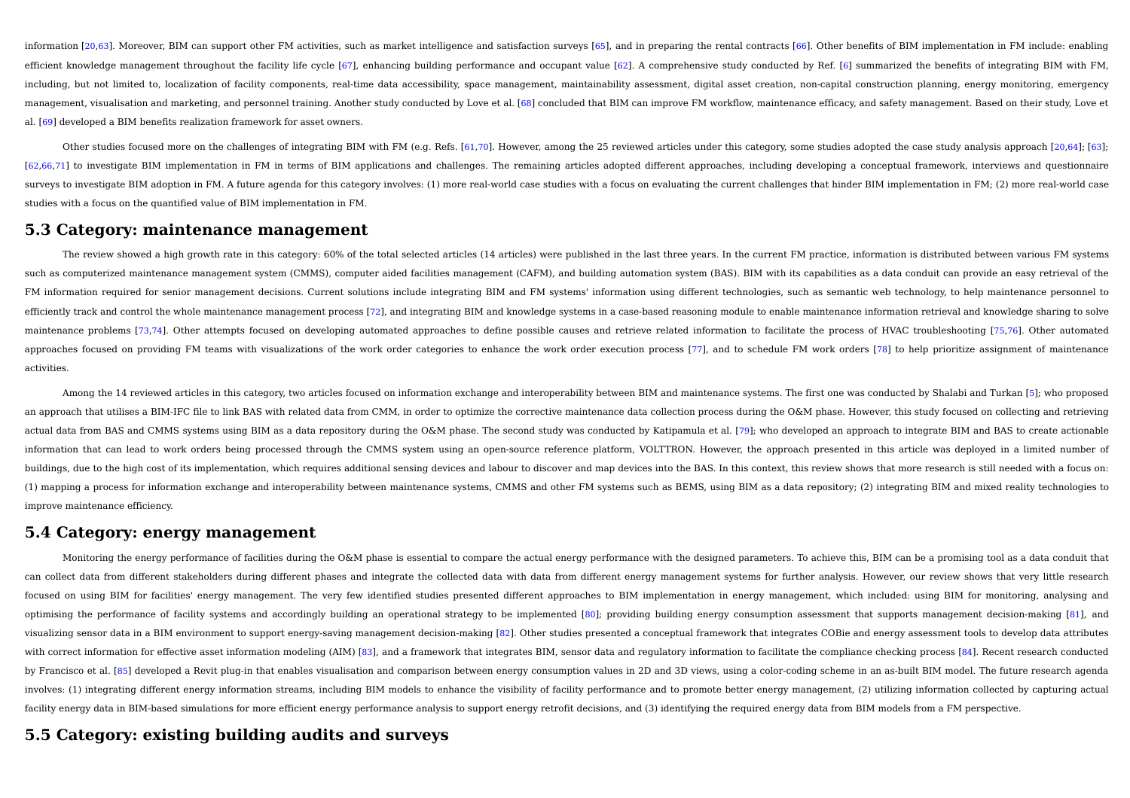information [20.63]. Moreover, BIM can support other FM activities, such as market intelligence and satisfaction surveys [65], and in preparing the rental contracts [66]. Other benefits of BIM implementation in FM include; efficient knowledge management throughout the facility life cycle [67], enhancing building performance and occupant value [62]. A comprehensive study conducted by Ref. [6] summarized the benefits of integrating BIM with F including, but not limited to, localization of facility components, real-time data accessibility, space management, maintainability assessment, digital asset creation, non-capital construction planning, energy monitoring, management, visualisation and marketing, and personnel training. Another study conducted by Love et al. [68] concluded that BIM can improve FM workflow, maintenance efficacy, and safety management. Based on their study, Lo al. [69] developed a BIM benefits realization framework for asset owners.

Other studies focused more on the challenges of integrating BIM with FM (e.g. Refs. [61,70]. However, among the 25 reviewed articles under this category, some studies adopted the case study analysis approach [20,64]; [63]; [62,66,71] to investigate BIM implementation in FM in terms of BIM applications and challenges. The remaining articles adopted different approaches, including developing a conceptual framework, interviews and questionnaire surveys to investigate BIM adoption in FM. A future agenda for this category involves: (1) more real-world case studies with a focus on evaluating the current challenges that hinder BIM implementation in FM; (2) more realstudies with a focus on the quantified value of BIM implementation in FM.

## **5.3 Category: maintenance management**

The review showed a high growth rate in this category: 60% of the total selected articles (14 articles) were published in the last three years. In the current FM practice, information is distributed between various FM syst such as computerized maintenance management system (CMMS), computer aided facilities management (CAFM), and building automation system (BAS). BIM with its capabilities as a data conduit can provide an easy retrieval of the FM information required for senior management decisions. Current solutions include integrating BIM and FM systems' information using different technologies, such as semantic web technology, to help maintenance personnel to efficiently track and control the whole maintenance management process [72], and integrating BIM and knowledge systems in a case-based reasoning module to enable maintenance information retrieval and knowledge sharing to s maintenance problems [73,74]. Other attempts focused on developing automated approaches to define possible causes and retrieve related information to facilitate the process of HVAC troubleshooting [75,76]. Other automated approaches focused on providing FM teams with visualizations of the work order categories to enhance the work order execution process [77], and to schedule FM work orders [78] to help prioritize assignment of maintenance activities.

Among the 14 reviewed articles in this category, two articles focused on information exchange and interoperability between BIM and maintenance systems. The first one was conducted by Shalabi and Turkan [5]; who proposed an approach that utilises a BIM-IFC file to link BAS with related data from CMM, in order to optimize the corrective maintenance data collection process during the O&M phase. However, this study focused on collecting and r actual data from BAS and CMMS systems using BIM as a data repository during the O&M phase. The second study was conducted by Katipamula et al. [79]; who developed an approach to integrate BIM and BAS to create actionable information that can lead to work orders being processed through the CMMS system using an open-source reference platform, VOLTTRON. However, the approach presented in this article was deployed in a limited number of buildings, due to the high cost of its implementation, which requires additional sensing devices and labour to discover and map devices into the BAS. In this context, this review shows that more research is still needed wi (1) mapping a process for information exchange and interoperability between maintenance systems, CMMS and other FM systems such as BEMS, using BIM as a data repository; (2) integrating BIM and mixed reality technologies to improve maintenance efficiency.

## **5.4 Category: energy management**

Monitoring the energy performance of facilities during the O&M phase is essential to compare the actual energy performance with the designed parameters. To achieve this, BIM can be a promising tool as a data conduit that can collect data from different stakeholders during different phases and integrate the collected data with data from different energy management systems for further analysis. However, our review shows that very little rese focused on using BIM for facilities' energy management. The very few identified studies presented different approaches to BIM implementation in energy management, which included: using BIM for monitoring, analysing and optimising the performance of facility systems and accordingly building an operational strategy to be implemented [80]; providing building energy consumption assessment that supports management decision-making [81], and visualizing sensor data in a BIM environment to support energy-saving management decision-making [82]. Other studies presented a conceptual framework that integrates COBie and energy assessment tools to develop data attrib with correct information for effective asset information modeling (AIM) [83], and a framework that integrates BIM, sensor data and regulatory information to facilitate the compliance checking process [84]. Recent research by Francisco et al. [85] developed a Revit plug-in that enables visualisation and comparison between energy consumption values in 2D and 3D views, using a color-coding scheme in an as-built BIM model. The future research a involves: (1) integrating different energy information streams, including BIM models to enhance the visibility of facility performance and to promote better energy management, (2) utilizing information collected by capturi facility energy data in BIM-based simulations for more efficient energy performance analysis to support energy retrofit decisions, and (3) identifying the required energy data from BIM models from a FM perspective.

## **5.5 Category: existing building audits and surveys**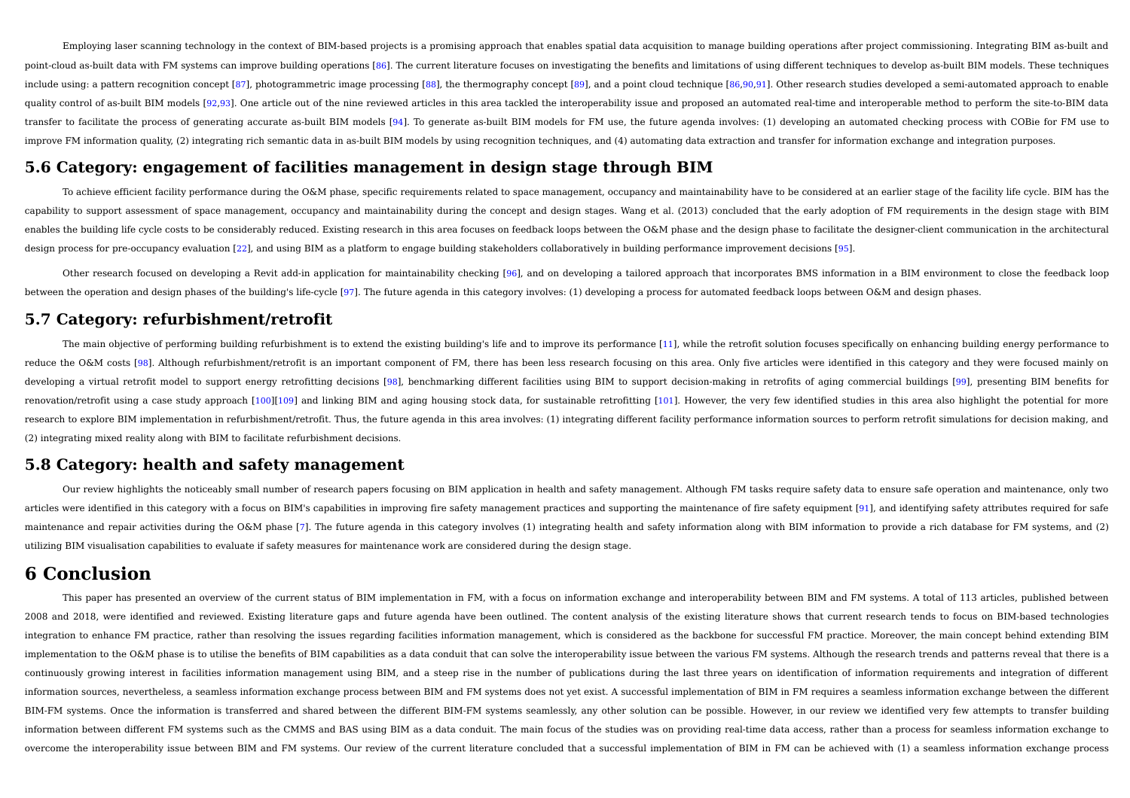Employing laser scanning technology in the context of BIM-based projects is a promising approach that enables spatial data acquisition to manage building operations after project commissioning. Integrating BIM as-built and point-cloud as-built data with FM systems can improve building operations [86]. The current literature focuses on investigating the benefits and limitations of using different techniques to develop as-built BIM models. The include using: a pattern recognition concept [87], photogrammetric image processing [88], the thermography concept [89], and a point cloud technique [86,90,91]. Other research studies developed a semi-automated approach to quality control of as-built BIM models [92,93]. One article out of the nine reviewed articles in this area tackled the interoperability issue and proposed an automated real-time and interoperable method to perform the site transfer to facilitate the process of generating accurate as-built BIM models [94]. To generate as-built BIM models for FM use, the future agenda involves: (1) developing an automated checking process with COBie for FM use improve FM information quality, (2) integrating rich semantic data in as-built BIM models by using recognition techniques, and (4) automating data extraction and transfer for information exchange and integration purposes.

## **5.6 Category: engagement of facilities management in design stage through BIM**

To achieve efficient facility performance during the O&M phase, specific requirements related to space management, occupancy and maintainability have to be considered at an earlier stage of the facility life cycle. BIM has capability to support assessment of space management, occupancy and maintainability during the concept and design stages. Wang et al. (2013) concluded that the early adoption of FM requirements in the design stage with BIM enables the building life cycle costs to be considerably reduced. Existing research in this area focuses on feedback loops between the O&M phase and the design phase to facilitate the designer-client communication in the a design process for pre-occupancy evaluation [22], and using BIM as a platform to engage building stakeholders collaboratively in building performance improvement decisions [95].

Other research focused on developing a Revit add-in application for maintainability checking [96], and on developing a tailored approach that incorporates BMS information in a BIM environment to close the feedback loop between the operation and design phases of the building's life-cycle [97]. The future agenda in this category involves: (1) developing a process for automated feedback loops between O&M and design phases.

## **5.7 Category: refurbishment/retrofit**

The main objective of performing building refurbishment is to extend the existing building's life and to improve its performance [11], while the retrofit solution focuses specifically on enhancing building energy performan reduce the O&M costs [98]. Although refurbishment/retrofit is an important component of FM, there has been less research focusing on this area. Only five articles were identified in this category and they were focused main developing a virtual retrofit model to support energy retrofitting decisions [98], benchmarking different facilities using BIM to support decision-making in retrofits of aging commercial buildings [99], presenting BIM bene renovation/retrofit using a case study approach [100][109] and linking BIM and aging housing stock data, for sustainable retrofitting [101]. However, the very few identified studies in this area also highlight the potentia research to explore BIM implementation in refurbishment/retrofit. Thus, the future agenda in this area involves: (1) integrating different facility performance information sources to perform retrofit simulations for decisi (2) integrating mixed reality along with BIM to facilitate refurbishment decisions.

## **5.8 Category: health and safety management**

Our review highlights the noticeably small number of research papers focusing on BIM application in health and safety management. Although FM tasks require safety data to ensure safe operation and maintenance, only two articles were identified in this category with a focus on BIM's capabilities in improving fire safety management practices and supporting the maintenance of fire safety equipment [91], and identifying safety attributes req maintenance and repair activities during the O&M phase [7]. The future agenda in this category involves (1) integrating health and safety information along with BIM information to provide a rich database for FM systems, an utilizing BIM visualisation capabilities to evaluate if safety measures for maintenance work are considered during the design stage.

## **6 Conclusion**

This paper has presented an overview of the current status of BIM implementation in FM, with a focus on information exchange and interoperability between BIM and FM systems. A total of 113 articles, published between 2008 and 2018, were identified and reviewed. Existing literature gaps and future agenda have been outlined. The content analysis of the existing literature shows that current research tends to focus on BIM-based technologies integration to enhance FM practice, rather than resolving the issues regarding facilities information management, which is considered as the backbone for successful FM practice. Moreover, the main concept behind extending implementation to the O&M phase is to utilise the benefits of BIM capabilities as a data conduit that can solve the interoperability issue between the various FM systems. Although the research trends and patterns reveal th continuously growing interest in facilities information management using BIM, and a steep rise in the number of publications during the last three years on identification of information requirements and integration of diff information sources, nevertheless, a seamless information exchange process between BIM and FM systems does not vet exist. A successful implementation of BIM in FM requires a seamless information exchange between the differ BIM-FM systems. Once the information is transferred and shared between the different BIM-FM systems seamlessly, any other solution can be possible. However, in our review we identified very few attempts to transfer building information between different FM systems such as the CMMS and BAS using BIM as a data conduit. The main focus of the studies was on providing real-time data access, rather than a process for seamless information exchange to overcome the interoperability issue between BIM and FM systems. Our review of the current literature concluded that a successful implementation of BIM in FM can be achieved with (1) a seamless information exchange process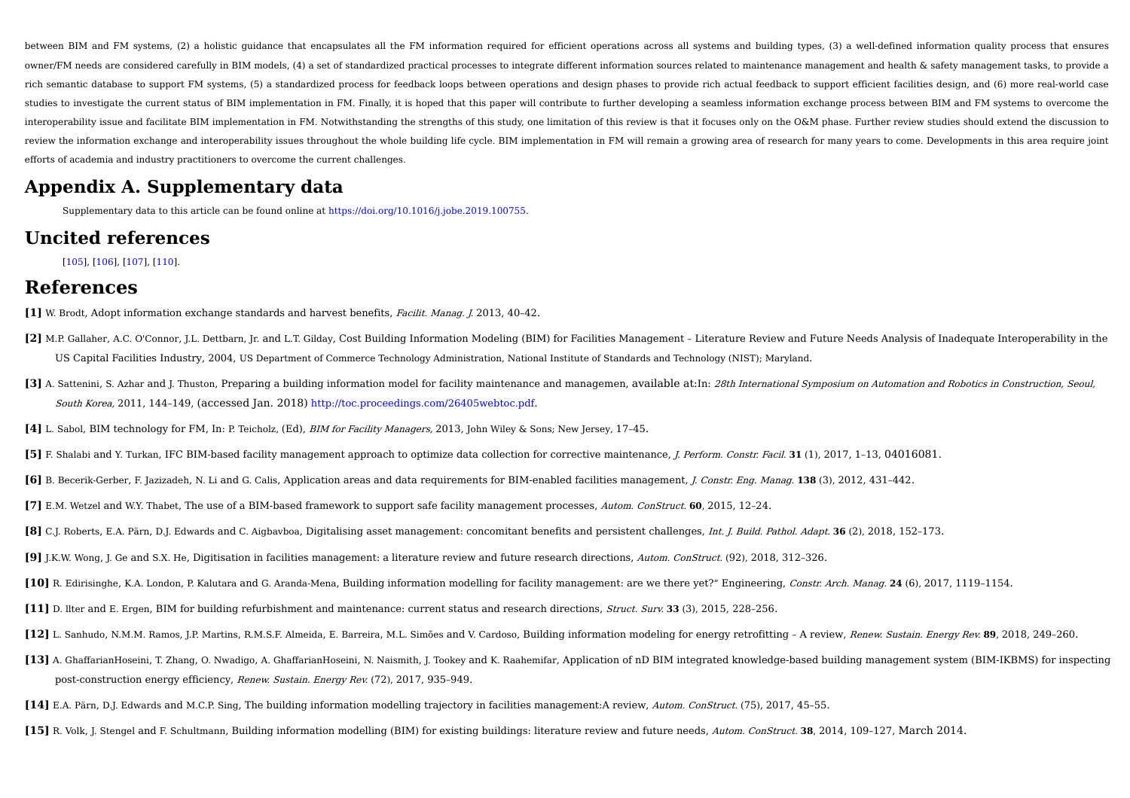between BIM and FM systems. (2) a holistic quidance that encapsulates all the FM information required for efficient operations across all systems and building types. (3) a well-defined information quality process that ensu owner/FM needs are considered carefully in BIM models, (4) a set of standardized practical processes to integrate different information sources related to maintenance management and health & safety management tasks, to pro rich semantic database to support FM systems, (5) a standardized process for feedback loops between operations and design phases to provide rich actual feedback to support efficient facilities design, and (6) more real-wor studies to investigate the current status of BIM implementation in FM. Finally, it is hoped that this paper will contribute to further developing a seamless information exchange process between BIM and FM systems to overco interoperability issue and facilitate BIM implementation in FM. Notwithstanding the strengths of this study, one limitation of this review is that it focuses only on the O&M phase. Further review studies should extend the review the information exchange and interoperability issues throughout the whole building life cycle. BIM implementation in FM will remain a growing area of research for many years to come. Developments in this area requir efforts of academia and industry practitioners to overcome the current challenges.

# **Appendix A. Supplementary data**

Supplementary data to this article can be found online at https://doi.org/10.1016/j.jobe.2019.100755.

# **Uncited references**

[105], [106], [107], [110].

# **References**

- **[1]** W. Brodt, Adopt information exchange standards and harvest benefits, Facilit. Manag. J. 2013, 40–42.
- [2] M.P. Gallaher, A.C. O'Connor, J.L. Dettbarn, Jr. and L.T. Gilday, Cost Building Information Modeling (BIM) for Facilities Management Literature Review and Future Needs Analysis of Inadequate Interoperability in the US Capital Facilities Industry, 2004, US Department of Commerce Technology Administration, National Institute of Standards and Technology (NIST); Maryland.
- [3] A. Sattenini, S. Azhar and J. Thuston, Preparing a building information model for facility maintenance and managemen, available at:In: 28th International Symposium on Automation and Robotics in Construction, Seoul, South Korea, 2011, 144–149, (accessed Jan. 2018) http://toc.proceedings.com/26405webtoc.pdf.
- **[4]** L. Sabol, BIM technology for FM, In: P. Teicholz, (Ed), BIM for Facility Managers, 2013, John Wiley & Sons; New Jersey, 17–45.
- **[5]** F. Shalabi and Y. Turkan, IFC BIM-based facility management approach to optimize data collection for corrective maintenance, J. Perform. Constr. Facil. **31** (1), 2017, 1–13, 04016081.
- **[6]** B. Becerik-Gerber, F. Jazizadeh, N. Li and G. Calis, Application areas and data requirements for BIM-enabled facilities management, J. Constr. Eng. Manag. **138** (3), 2012, 431–442.
- **[7]** E.M. Wetzel and W.Y. Thabet, The use of a BIM-based framework to support safe facility management processes, Autom. ConStruct. **60**, 2015, 12–24.
- **[8]** C.J. Roberts, E.A. Pärn, D.J. Edwards and C. Aigbavboa, Digitalising asset management: concomitant benefits and persistent challenges, Int. J. Build. Pathol. Adapt. **36** (2), 2018, 152–173.
- **[9]** J.K.W. Wong, J. Ge and S.X. He, Digitisation in facilities management: a literature review and future research directions, Autom. ConStruct. (92), 2018, 312–326.
- **[10]** R. Edirisinghe, K.A. London, P. Kalutara and G. Aranda-Mena, Building information modelling for facility management: are we there yet?" Engineering, Constr. Arch. Manag. **24** (6), 2017, 1119–1154.
- **[11]** D. llter and E. Ergen, BIM for building refurbishment and maintenance: current status and research directions, Struct. Surv. **33** (3), 2015, 228–256.
- [12] L. Sanhudo, N.M.M. Ramos, J.P. Martins, R.M.S.F. Almeida, E. Barreira, M.L. Simões and V. Cardoso, Building information modeling for energy retrofitting A review, Renew. Sustain. Energy Rev. 89, 2018, 249-260.
- **[13]** A. GhaffarianHoseini, T. Zhang, O. Nwadigo, A. GhaffarianHoseini, N. Naismith, J. Tookey and K. Raahemifar, Application of nD BIM integrated knowledge-based building management system (BIM-IKBMS) for inspecting post-construction energy efficiency, Renew. Sustain. Energy Rev. (72), 2017, 935–949.
- **[14]** E.A. Pärn, D.J. Edwards and M.C.P. Sing, The building information modelling trajectory in facilities management:A review, Autom. ConStruct. (75), 2017, 45–55.
- **[15]** R. Volk, J. Stengel and F. Schultmann, Building information modelling (BIM) for existing buildings: literature review and future needs, Autom. ConStruct. **38**, 2014, 109–127, March 2014.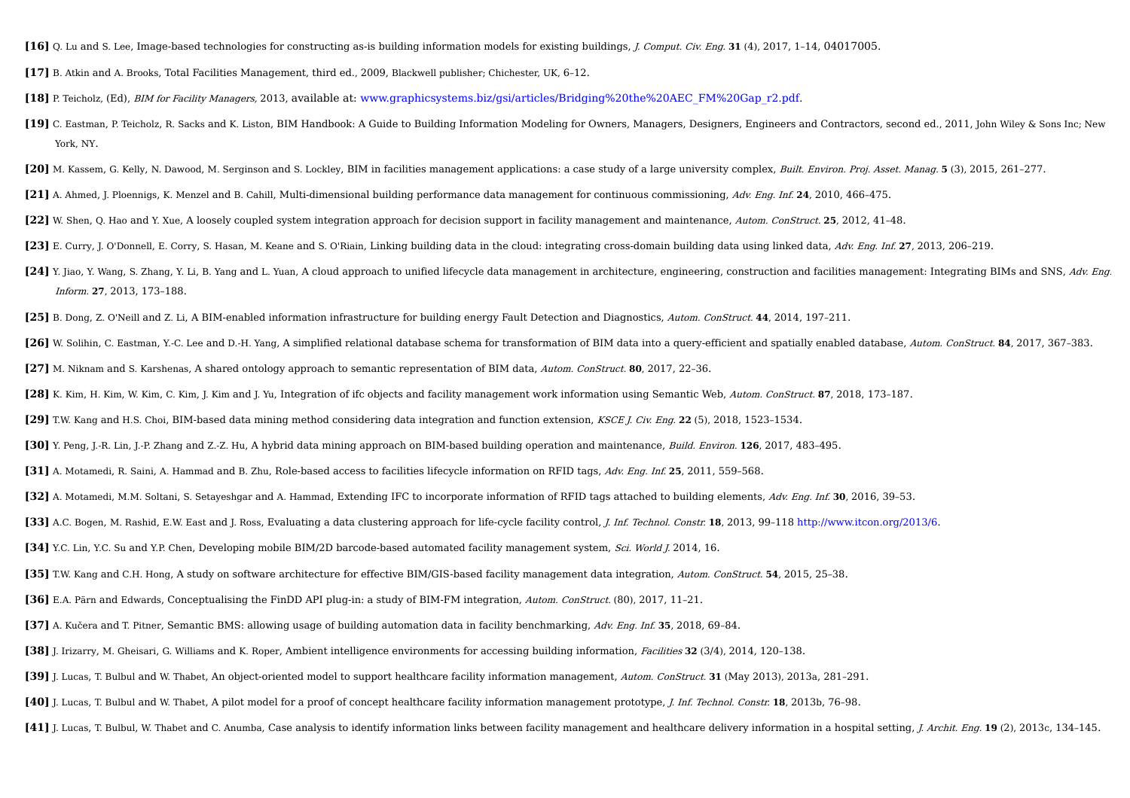- **[16]** Q. Lu and S. Lee, Image-based technologies for constructing as-is building information models for existing buildings, J. Comput. Civ. Eng. **31** (4), 2017, 1–14, 04017005.
- **[17]** B. Atkin and A. Brooks, Total Facilities Management, third ed., 2009, Blackwell publisher; Chichester, UK, 6–12.
- **[18]** P. Teicholz, (Ed), BIM for Facility Managers, 2013, available at: www.graphicsystems.biz/gsi/articles/Bridging%20the%20AEC\_FM%20Gap\_r2.pdf.
- **[19]** C. Eastman, P. Teicholz, R. Sacks and K. Liston, BIM Handbook: A Guide to Building Information Modeling for Owners, Managers, Designers, Engineers and Contractors, second ed., 2011, John Wiley & Sons Inc; New York, NY.
- **[20]** M. Kassem, G. Kelly, N. Dawood, M. Serginson and S. Lockley, BIM in facilities management applications: a case study of a large university complex, Built. Environ. Proj. Asset. Manag. **5** (3), 2015, 261–277.
- **[21]** A. Ahmed, J. Ploennigs, K. Menzel and B. Cahill, Multi-dimensional building performance data management for continuous commissioning, Adv. Eng. Inf. **24**, 2010, 466–475.
- **[22]** W. Shen, Q. Hao and Y. Xue, A loosely coupled system integration approach for decision support in facility management and maintenance, Autom. ConStruct. **25**, 2012, 41–48.
- **[23]** E. Curry, J. O'Donnell, E. Corry, S. Hasan, M. Keane and S. O'Riain, Linking building data in the cloud: integrating cross-domain building data using linked data, Adv. Eng. Inf. **27**, 2013, 206–219.
- [24] Y. Jiao, Y. Wang, S. Zhang, Y. Li, B. Yang and L. Yuan, A cloud approach to unified lifecycle data management in architecture, engineering, construction and facilities management: Integrating BIMs and SNS, Adv. Eng. Inform. **27**, 2013, 173–188.
- **[25]** B. Dong, Z. O'Neill and Z. Li, A BIM-enabled information infrastructure for building energy Fault Detection and Diagnostics, Autom. ConStruct. **44**, 2014, 197–211.
- [26] W. Solihin, C. Eastman, Y.-C. Lee and D.-H. Yang, A simplified relational database schema for transformation of BIM data into a query-efficient and spatially enabled database, Autom. ConStruct. 84, 2017, 367-383.
- **[27]** M. Niknam and S. Karshenas, A shared ontology approach to semantic representation of BIM data, Autom. ConStruct. **80**, 2017, 22–36.
- **[28]** K. Kim, H. Kim, W. Kim, C. Kim, J. Kim and J. Yu, Integration of ifc objects and facility management work information using Semantic Web, Autom. ConStruct. **87**, 2018, 173–187.
- **[29]** T.W. Kang and H.S. Choi, BIM-based data mining method considering data integration and function extension, KSCE J. Civ. Eng. **22** (5), 2018, 1523–1534.
- **[30]** Y. Peng, J.-R. Lin, J.-P. Zhang and Z.-Z. Hu, A hybrid data mining approach on BIM-based building operation and maintenance, Build. Environ. **126**, 2017, 483–495.
- **[31]** A. Motamedi, R. Saini, A. Hammad and B. Zhu, Role-based access to facilities lifecycle information on RFID tags, Adv. Eng. Inf. **25**, 2011, 559–568.
- **[32]** A. Motamedi, M.M. Soltani, S. Setayeshgar and A. Hammad, Extending IFC to incorporate information of RFID tags attached to building elements, Adv. Eng. Inf. **30**, 2016, 39–53.
- **[33]** A.C. Bogen, M. Rashid, E.W. East and J. Ross, Evaluating a data clustering approach for life-cycle facility control, J. Inf. Technol. Constr. **18**, 2013, 99–118 http://www.itcon.org/2013/6.
- **[34]** Y.C. Lin, Y.C. Su and Y.P. Chen, Developing mobile BIM/2D barcode-based automated facility management system, Sci. World J. 2014, 16.
- **[35]** T.W. Kang and C.H. Hong, A study on software architecture for effective BIM/GIS-based facility management data integration, Autom. ConStruct. **54**, 2015, 25–38.
- **[36]** E.A. Pärn and Edwards, Conceptualising the FinDD API plug-in: a study of BIM-FM integration, Autom. ConStruct. (80), 2017, 11–21.
- **[37]** A. Kučera and T. Pitner, Semantic BMS: allowing usage of building automation data in facility benchmarking, Adv. Eng. Inf. **35**, 2018, 69–84.
- **[38]** J. Irizarry, M. Gheisari, G. Williams and K. Roper, Ambient intelligence environments for accessing building information, Facilities **32** (3/4), 2014, 120–138.
- **[39]** J. Lucas, T. Bulbul and W. Thabet, An object-oriented model to support healthcare facility information management, Autom. ConStruct. **31** (May 2013), 2013a, 281–291.
- **[40]** J. Lucas, T. Bulbul and W. Thabet, A pilot model for a proof of concept healthcare facility information management prototype, J. Inf. Technol. Constr. **18**, 2013b, 76–98.
- [41] J. Lucas, T. Bulbul, W. Thabet and C. Anumba, Case analysis to identify information links between facility management and healthcare delivery information in a hospital setting, J. Archit. Eng. 19 (2), 2013c, 134-145.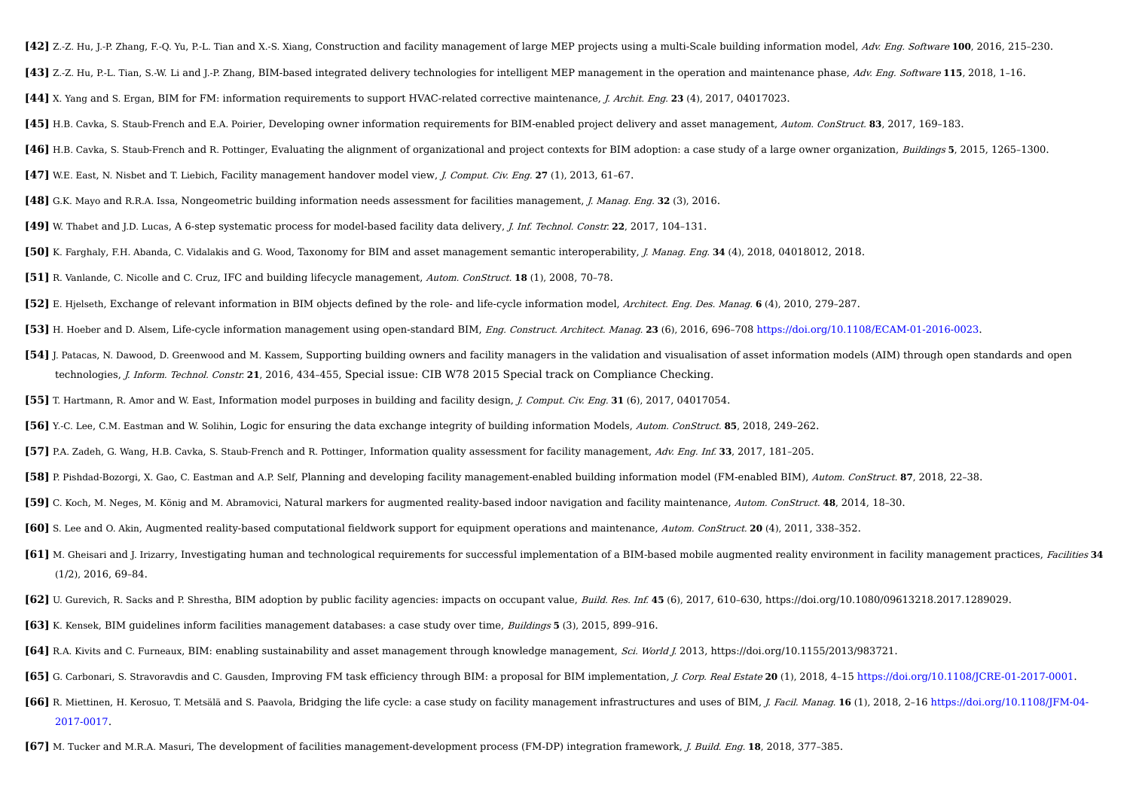- [42] Z.-Z. Hu, J.-P. Zhang, F.-O. Yu, P.-L. Tian and X.-S. Xiang, Construction and facility management of large MEP projects using a multi-Scale building information model, Adv. Eng. Software 100, 2016, 215-230.
- **[43]** Z.-Z. Hu, P.-L. Tian, S.-W. Li and J.-P. Zhang, BIM-based integrated delivery technologies for intelligent MEP management in the operation and maintenance phase, Adv. Eng. Software **115**, 2018, 1–16.
- **[44]** X. Yang and S. Ergan, BIM for FM: information requirements to support HVAC-related corrective maintenance, J. Archit. Eng. **23** (4), 2017, 04017023.
- **[45]** H.B. Cavka, S. Staub-French and E.A. Poirier, Developing owner information requirements for BIM-enabled project delivery and asset management, Autom. ConStruct. **83**, 2017, 169–183.
- **[46]** H.B. Cavka, S. Staub-French and R. Pottinger, Evaluating the alignment of organizational and project contexts for BIM adoption: a case study of a large owner organization, Buildings **5**, 2015, 1265–1300.
- **[47]** W.E. East, N. Nisbet and T. Liebich, Facility management handover model view, J. Comput. Civ. Eng. **27** (1), 2013, 61–67.
- **[48]** G.K. Mayo and R.R.A. Issa, Nongeometric building information needs assessment for facilities management, J. Manag. Eng. **32** (3), 2016.
- **[49]** W. Thabet and J.D. Lucas, A 6-step systematic process for model-based facility data delivery, J. Inf. Technol. Constr. **22**, 2017, 104–131.
- **[50]** K. Farghaly, F.H. Abanda, C. Vidalakis and G. Wood, Taxonomy for BIM and asset management semantic interoperability, J. Manag. Eng. **34** (4), 2018, 04018012, 2018.
- **[51]** R. Vanlande, C. Nicolle and C. Cruz, IFC and building lifecycle management, Autom. ConStruct. **18** (1), 2008, 70–78.
- **[52]** E. Hjelseth, Exchange of relevant information in BIM objects defined by the role- and life-cycle information model, Architect. Eng. Des. Manag. **6** (4), 2010, 279–287.
- **[53]** H. Hoeber and D. Alsem, Life-cycle information management using open-standard BIM, Eng. Construct. Architect. Manag. **23** (6), 2016, 696–708 https://doi.org/10.1108/ECAM-01-2016-0023.
- **[54]** J. Patacas, N. Dawood, D. Greenwood and M. Kassem, Supporting building owners and facility managers in the validation and visualisation of asset information models (AIM) through open standards and open technologies, J. Inform. Technol. Constr. **21**, 2016, 434–455, Special issue: CIB W78 2015 Special track on Compliance Checking.
- **[55]** T. Hartmann, R. Amor and W. East, Information model purposes in building and facility design, J. Comput. Civ. Eng. **31** (6), 2017, 04017054.
- **[56]** Y.-C. Lee, C.M. Eastman and W. Solihin, Logic for ensuring the data exchange integrity of building information Models, Autom. ConStruct. **85**, 2018, 249–262.
- **[57]** P.A. Zadeh, G. Wang, H.B. Cavka, S. Staub-French and R. Pottinger, Information quality assessment for facility management, Adv. Eng. Inf. **33**, 2017, 181–205.
- **[58]** P. Pishdad-Bozorgi, X. Gao, C. Eastman and A.P. Self, Planning and developing facility management-enabled building information model (FM-enabled BIM), Autom. ConStruct. **87**, 2018, 22–38.
- **[59]** C. Koch, M. Neges, M. König and M. Abramovici, Natural markers for augmented reality-based indoor navigation and facility maintenance, Autom. ConStruct. **48**, 2014, 18–30.
- **[60]** S. Lee and O. Akin, Augmented reality-based computational fieldwork support for equipment operations and maintenance, Autom. ConStruct. **20** (4), 2011, 338–352.
- [61] M. Gheisari and J. Irizarry, Investigating human and technological requirements for successful implementation of a BIM-based mobile augmented reality environment in facility management practices, Facilities 34 (1/2), 2016, 69–84.
- **[62]** U. Gurevich, R. Sacks and P. Shrestha, BIM adoption by public facility agencies: impacts on occupant value, Build. Res. Inf. **45** (6), 2017, 610–630, https://doi.org/10.1080/09613218.2017.1289029.
- **[63]** K. Kensek, BIM guidelines inform facilities management databases: a case study over time, Buildings **5** (3), 2015, 899–916.
- **[64]** R.A. Kivits and C. Furneaux, BIM: enabling sustainability and asset management through knowledge management, Sci. World J. 2013, https://doi.org/10.1155/2013/983721.
- **[65]** G. Carbonari, S. Stravoravdis and C. Gausden, Improving FM task efficiency through BIM: a proposal for BIM implementation, J. Corp. Real Estate **20** (1), 2018, 4–15 https://doi.org/10.1108/JCRE-01-2017-0001.
- [66] R. Miettinen, H. Kerosuo, T. Metsälä and S. Paavola, Bridging the life cycle: a case study on facility management infrastructures and uses of BIM, J. Facil. Manag. 16 (1), 2018, 2-16 https://doi.org/10.1108/JFM-04-2017-0017.
- **[67]** M. Tucker and M.R.A. Masuri, The development of facilities management-development process (FM-DP) integration framework, J. Build. Eng. **18**, 2018, 377–385.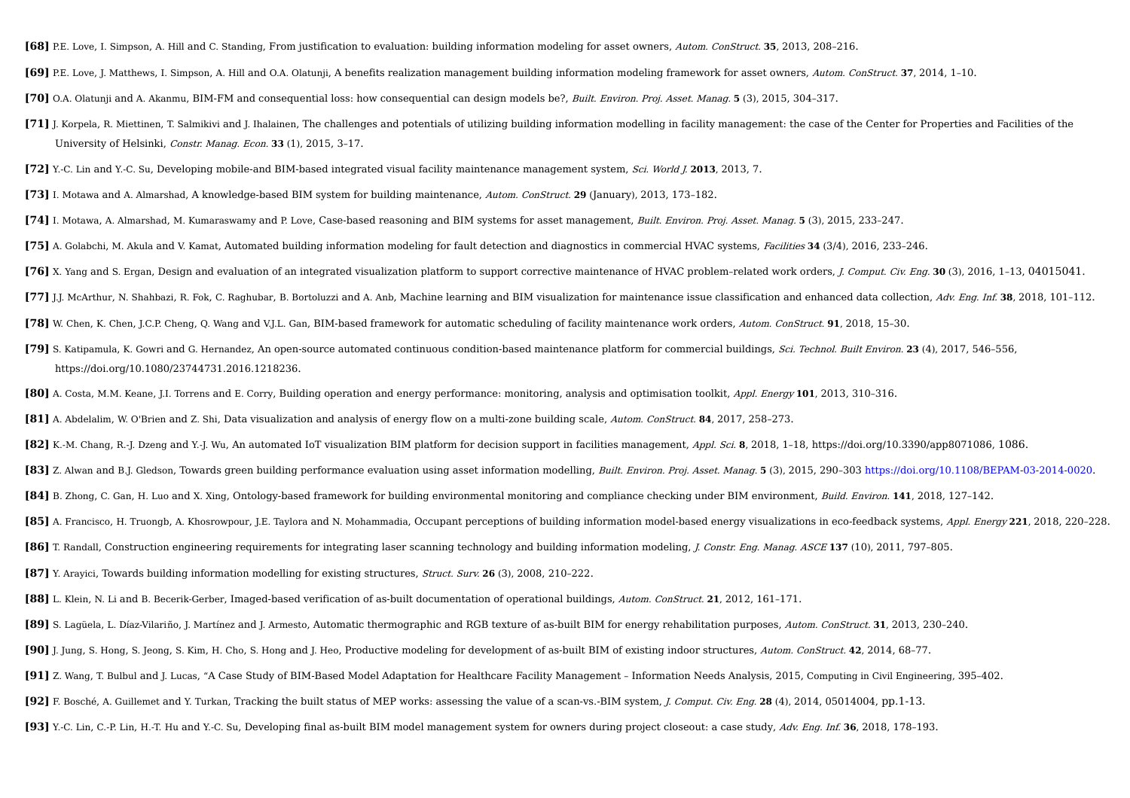- **[68]** P.E. Love, I. Simpson, A. Hill and C. Standing, From justification to evaluation: building information modeling for asset owners, Autom. ConStruct. **35**, 2013, 208–216.
- **[69]** P.E. Love, J. Matthews, I. Simpson, A. Hill and O.A. Olatunji, A benefits realization management building information modeling framework for asset owners, Autom. ConStruct. **37**, 2014, 1–10.
- **[70]** O.A. Olatunji and A. Akanmu, BIM-FM and consequential loss: how consequential can design models be?, Built. Environ. Proj. Asset. Manag. **5** (3), 2015, 304–317.
- [71] J. Korpela, R. Miettinen, T. Salmikivi and J. Ihalainen, The challenges and potentials of utilizing building information modelling in facility management: the case of the Center for Properties and Facilities of the University of Helsinki, Constr. Manag. Econ. **33** (1), 2015, 3–17.
- **[72]** Y.-C. Lin and Y.-C. Su, Developing mobile-and BIM-based integrated visual facility maintenance management system, Sci. World J. **2013**, 2013, 7.
- **[73]** I. Motawa and A. Almarshad, A knowledge-based BIM system for building maintenance, Autom. ConStruct. **29** (January), 2013, 173–182.
- **[74]** I. Motawa, A. Almarshad, M. Kumaraswamy and P. Love, Case-based reasoning and BIM systems for asset management, Built. Environ. Proj. Asset. Manag. **5** (3), 2015, 233–247.
- **[75]** A. Golabchi, M. Akula and V. Kamat, Automated building information modeling for fault detection and diagnostics in commercial HVAC systems, Facilities **34** (3/4), 2016, 233–246.
- **[76]** X. Yang and S. Ergan, Design and evaluation of an integrated visualization platform to support corrective maintenance of HVAC problem–related work orders, J. Comput. Civ. Eng. **30** (3), 2016, 1–13, 04015041.
- [77] J.J. McArthur, N. Shahbazi, R. Fok, C. Raghubar, B. Bortoluzzi and A. Anb, Machine learning and BIM visualization for maintenance issue classification and enhanced data collection, Adv. Eng. Inf. 38, 2018, 101-112.
- **[78]** W. Chen, K. Chen, J.C.P. Cheng, Q. Wang and V.J.L. Gan, BIM-based framework for automatic scheduling of facility maintenance work orders, Autom. ConStruct. **91**, 2018, 15–30.
- **[79]** S. Katipamula, K. Gowri and G. Hernandez, An open-source automated continuous condition-based maintenance platform for commercial buildings, Sci. Technol. Built Environ. **23** (4), 2017, 546–556, https://doi.org/10.1080/23744731.2016.1218236.
- **[80]** A. Costa, M.M. Keane, J.I. Torrens and E. Corry, Building operation and energy performance: monitoring, analysis and optimisation toolkit, Appl. Energy **101**, 2013, 310–316.
- **[81]** A. Abdelalim, W. O'Brien and Z. Shi, Data visualization and analysis of energy flow on a multi-zone building scale, Autom. ConStruct. **84**, 2017, 258–273.
- **[82]** K.-M. Chang, R.-J. Dzeng and Y.-J. Wu, An automated IoT visualization BIM platform for decision support in facilities management, Appl. Sci. **8**, 2018, 1–18, https://doi.org/10.3390/app8071086, 1086.
- [83] Z. Alwan and B.J. Gledson, Towards green building performance evaluation using asset information modelling, Built. Environ. Proj. Asset. Manag. 5 (3), 2015, 290-303 https://doi.org/10.1108/BEPAM-03-2014-0020.
- **[84]** B. Zhong, C. Gan, H. Luo and X. Xing, Ontology-based framework for building environmental monitoring and compliance checking under BIM environment, Build. Environ. **141**, 2018, 127–142.
- [85] A. Francisco, H. Truongb, A. Khosrowpour, J.E. Taylora and N. Mohammadia, Occupant perceptions of building information model-based energy visualizations in eco-feedback systems, Appl. Energy 221, 2018, 220-228.
- **[86]** T. Randall, Construction engineering requirements for integrating laser scanning technology and building information modeling, J. Constr. Eng. Manag. ASCE **137** (10), 2011, 797–805.
- **[87]** Y. Arayici, Towards building information modelling for existing structures, Struct. Surv. **26** (3), 2008, 210–222.
- **[88]** L. Klein, N. Li and B. Becerik-Gerber, Imaged-based verification of as-built documentation of operational buildings, Autom. ConStruct. **21**, 2012, 161–171.
- **[89]** S. Lagüela, L. Díaz-Vilariño, J. Martínez and J. Armesto, Automatic thermographic and RGB texture of as-built BIM for energy rehabilitation purposes, Autom. ConStruct. **31**, 2013, 230–240.
- **[90]** J. Jung, S. Hong, S. Jeong, S. Kim, H. Cho, S. Hong and J. Heo, Productive modeling for development of as-built BIM of existing indoor structures, Autom. ConStruct. **42**, 2014, 68–77.
- **[91]** Z. Wang, T. Bulbul and J. Lucas, "A Case Study of BIM-Based Model Adaptation for Healthcare Facility Management Information Needs Analysis, 2015, Computing in Civil Engineering, 395–402.
- **[92]** F. Bosché, A. Guillemet and Y. Turkan, Tracking the built status of MEP works: assessing the value of a scan-vs.-BIM system, J. Comput. Civ. Eng. **28** (4), 2014, 05014004, pp.1-13.
- **[93]** Y.-C. Lin, C.-P. Lin, H.-T. Hu and Y.-C. Su, Developing final as-built BIM model management system for owners during project closeout: a case study, Adv. Eng. Inf. **36**, 2018, 178–193.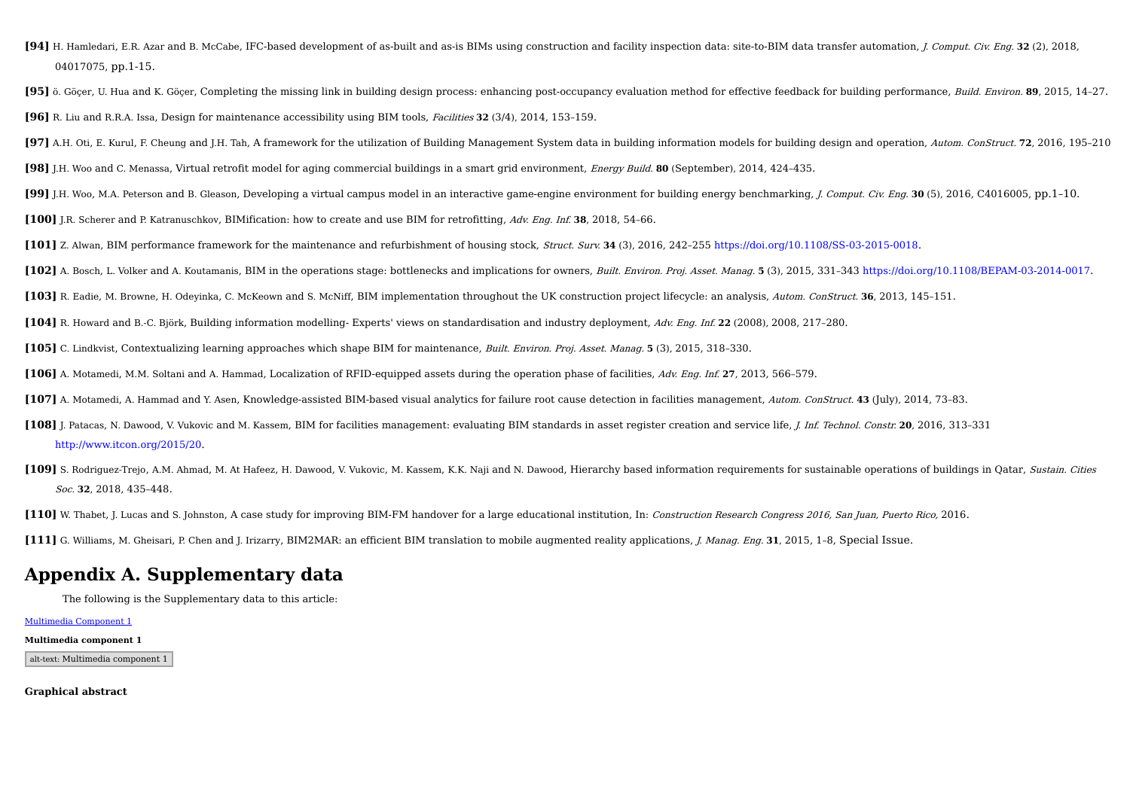- [94] H. Hamledari, E.R. Azar and B. McCabe, IFC-based development of as-built and as-is BIMs using construction and facility inspection data: site-to-BIM data transfer automation, *J. Comput. Civ. Eng.* 32 (2), 2018, 04017075, pp.1-15.
- [95] ö. Göcer. U. Hua and K. Göcer. Completing the missing link in building design process: enhancing post-occupancy evaluation method for effective feedback for building performance. Build. Environ. 89, 2015. 14-27. **[96]** R. Liu and R.R.A. Issa, Design for maintenance accessibility using BIM tools, Facilities **32** (3/4), 2014, 153–159.
- **[97]** A.H. Oti. E. Kurul. F. Cheung and I.H. Tah. A framework for the utilization of Building Management System data in building information models for building design and operation. Autom. ConStruct. 72, 2016, 195-210
- **[98]** J.H. Woo and C. Menassa, Virtual retrofit model for aging commercial buildings in a smart grid environment, Energy Build. **80** (September), 2014, 424–435.
- **[99]** J.H. Woo, M.A. Peterson and B. Gleason, Developing a virtual campus model in an interactive game-engine environment for building energy benchmarking, J. Comput. Civ. Eng. **30** (5), 2016, C4016005, pp.1–10.
- **[100]** J.R. Scherer and P. Katranuschkov, BIMification: how to create and use BIM for retrofitting, Adv. Eng. Inf. **38**, 2018, 54–66.
- **[101]** Z. Alwan, BIM performance framework for the maintenance and refurbishment of housing stock, Struct. Surv. **34** (3), 2016, 242–255 https://doi.org/10.1108/SS-03-2015-0018.
- **[102]** A. Bosch, L. Volker and A. Koutamanis, BIM in the operations stage: bottlenecks and implications for owners. Built, Environ, Proi. Asset, Manag, 5 (3), 2015, 331-343 https://doi.org/10.1108/BEPAM-03-2014-0017,

**[103]** R. Eadie, M. Browne, H. Odeyinka, C. McKeown and S. McNiff, BIM implementation throughout the UK construction project lifecycle: an analysis, Autom. ConStruct. **36**, 2013, 145–151.

- **[104]** R. Howard and B.-C. Björk, Building information modelling- Experts' views on standardisation and industry deployment, Adv. Eng. Inf. **22** (2008), 2008, 217–280.
- **[105]** C. Lindkvist, Contextualizing learning approaches which shape BIM for maintenance, Built. Environ. Proj. Asset. Manag. **5** (3), 2015, 318–330.
- **[106]** A. Motamedi, M.M. Soltani and A. Hammad, Localization of RFID-equipped assets during the operation phase of facilities, Adv. Eng. Inf. **27**, 2013, 566–579.
- **[107]** A. Motamedi, A. Hammad and Y. Asen, Knowledge-assisted BIM-based visual analytics for failure root cause detection in facilities management, Autom. ConStruct. **43** (July), 2014, 73–83.
- **[108]** J. Patacas, N. Dawood, V. Vukovic and M. Kassem, BIM for facilities management: evaluating BIM standards in asset register creation and service life, J. Inf. Technol. Constr. **20**, 2016, 313–331 http://www.itcon.org/2015/20.
- [109] S. Rodriguez-Trejo, A.M. Ahmad, M. At Hafeez, H. Dawood, V. Vukovic, M. Kassem, K.K. Naji and N. Dawood, Hierarchy based information requirements for sustainable operations of buildings in Qatar, Sustain. Cities Soc. **32**, 2018, 435–448.
- [110] W. Thabet, J. Lucas and S. Johnston, A case study for improving BIM-FM handover for a large educational institution, In: Construction Research Congress 2016, San Juan, Puerto Rico, 2016.
- **[111]** G. Williams, M. Gheisari, P. Chen and J. Irizarry, BIM2MAR: an efficient BIM translation to mobile augmented reality applications, J. Manag. Eng. **31**, 2015, 1–8, Special Issue.

# **Appendix A. Supplementary data**

The following is the Supplementary data to this article:

#### Multimedia Component 1

#### **Multimedia component 1**

alt-text: Multimedia component 1

**Graphical abstract**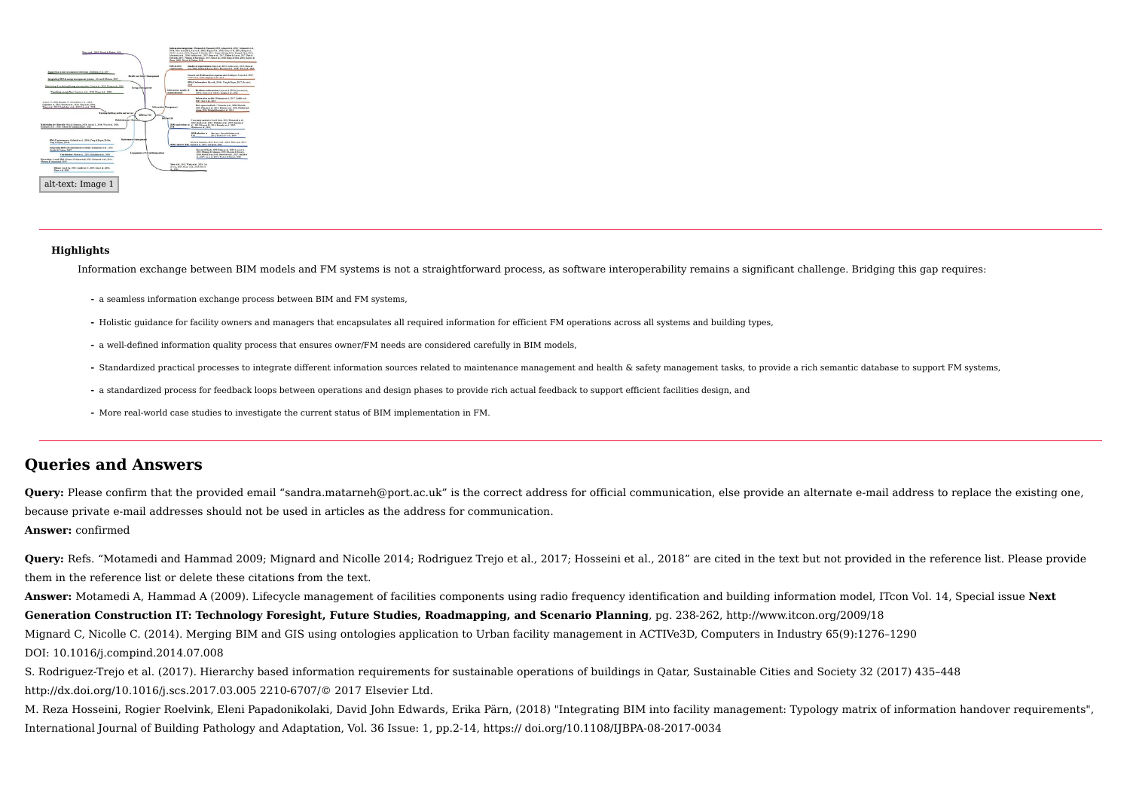

#### **Highlights**

Information exchange between BIM models and FM systems is not a straightforward process, as software interoperability remains a significant challenge. Bridging this gap requires:

- **⁃** a seamless information exchange process between BIM and FM systems,
- **⁃** Holistic guidance for facility owners and managers that encapsulates all required information for efficient FM operations across all systems and building types,
- **⁃** a well-defined information quality process that ensures owner/FM needs are considered carefully in BIM models,
- **⁃** Standardized practical processes to integrate different information sources related to maintenance management and health & safety management tasks, to provide a rich semantic database to support FM systems,
- **⁃** a standardized process for feedback loops between operations and design phases to provide rich actual feedback to support efficient facilities design, and
- **⁃** More real-world case studies to investigate the current status of BIM implementation in FM.

## **Queries and Answers**

**Query:** Please confirm that the provided email "sandra.matarneh@port.ac.uk" is the correct address for official communication, else provide an alternate e-mail address to replace the existing one, because private e-mail addresses should not be used in articles as the address for communication.

### **Answer:** confirmed

**Query:** Refs. "Motamedi and Hammad 2009; Mignard and Nicolle 2014; Rodriguez Trejo et al., 2017; Hosseini et al., 2018" are cited in the text but not provided in the reference list. Please provide them in the reference list or delete these citations from the text.

**Answer:** Motamedi A, Hammad A (2009). Lifecycle management of facilities components using radio frequency identification and building information model, ITcon Vol. 14, Special issue **Next Generation Construction IT: Technology Foresight, Future Studies, Roadmapping, and Scenario Planning**, pg. 238-262, http://www.itcon.org/2009/18 Mignard C, Nicolle C. (2014). Merging BIM and GIS using ontologies application to Urban facility management in ACTIVe3D, Computers in Industry 65(9):1276–1290

DOI: 10.1016/j.compind.2014.07.008

S. Rodriguez-Trejo et al. (2017). Hierarchy based information requirements for sustainable operations of buildings in Qatar, Sustainable Cities and Society 32 (2017) 435–448 http://dx.doi.org/10.1016/j.scs.2017.03.005 2210-6707/© 2017 Elsevier Ltd.

M. Reza Hosseini, Rogier Roelvink, Eleni Papadonikolaki, David John Edwards, Erika Pärn, (2018) "Integrating BIM into facility management: Typology matrix of information handover requirements", International Journal of Building Pathology and Adaptation, Vol. 36 Issue: 1, pp.2-14, https:// doi.org/10.1108/IJBPA-08-2017-0034